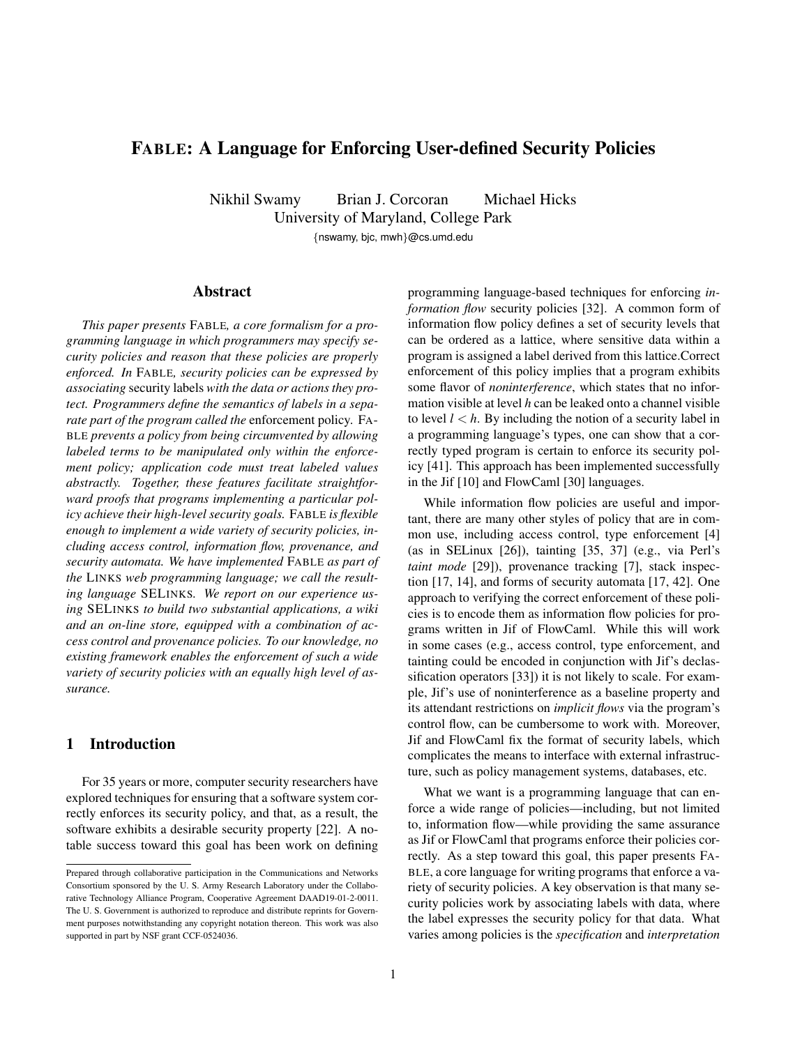# FABLE: A Language for Enforcing User-defined Security Policies

Nikhil Swamy Brian J. Corcoran Michael Hicks University of Maryland, College Park

{nswamy, bjc, mwh}@cs.umd.edu

Abstract

*This paper presents* FABLE*, a core formalism for a programming language in which programmers may specify security policies and reason that these policies are properly enforced. In* FABLE*, security policies can be expressed by associating* security labels *with the data or actions they protect. Programmers define the semantics of labels in a separate part of the program called the* enforcement policy*.* FA-BLE *prevents a policy from being circumvented by allowing labeled terms to be manipulated only within the enforcement policy; application code must treat labeled values abstractly. Together, these features facilitate straightforward proofs that programs implementing a particular policy achieve their high-level security goals.* FABLE *is flexible enough to implement a wide variety of security policies, including access control, information flow, provenance, and security automata. We have implemented* FABLE *as part of the* LINKS *web programming language; we call the resulting language* SELINKS*. We report on our experience using* SELINKS *to build two substantial applications, a wiki and an on-line store, equipped with a combination of access control and provenance policies. To our knowledge, no existing framework enables the enforcement of such a wide variety of security policies with an equally high level of assurance.*

## 1 Introduction

For 35 years or more, computer security researchers have explored techniques for ensuring that a software system correctly enforces its security policy, and that, as a result, the software exhibits a desirable security property [22]. A notable success toward this goal has been work on defining

programming language-based techniques for enforcing *information flow* security policies [32]. A common form of information flow policy defines a set of security levels that can be ordered as a lattice, where sensitive data within a program is assigned a label derived from this lattice.Correct enforcement of this policy implies that a program exhibits some flavor of *noninterference*, which states that no information visible at level *h* can be leaked onto a channel visible to level  $l < h$ . By including the notion of a security label in a programming language's types, one can show that a correctly typed program is certain to enforce its security policy [41]. This approach has been implemented successfully in the Jif [10] and FlowCaml [30] languages.

While information flow policies are useful and important, there are many other styles of policy that are in common use, including access control, type enforcement [4] (as in SELinux [26]), tainting [35, 37] (e.g., via Perl's *taint mode* [29]), provenance tracking [7], stack inspection [17, 14], and forms of security automata [17, 42]. One approach to verifying the correct enforcement of these policies is to encode them as information flow policies for programs written in Jif of FlowCaml. While this will work in some cases (e.g., access control, type enforcement, and tainting could be encoded in conjunction with Jif's declassification operators [33]) it is not likely to scale. For example, Jif's use of noninterference as a baseline property and its attendant restrictions on *implicit flows* via the program's control flow, can be cumbersome to work with. Moreover, Jif and FlowCaml fix the format of security labels, which complicates the means to interface with external infrastructure, such as policy management systems, databases, etc.

What we want is a programming language that can enforce a wide range of policies—including, but not limited to, information flow—while providing the same assurance as Jif or FlowCaml that programs enforce their policies correctly. As a step toward this goal, this paper presents FA-BLE, a core language for writing programs that enforce a variety of security policies. A key observation is that many security policies work by associating labels with data, where the label expresses the security policy for that data. What varies among policies is the *specification* and *interpretation*

Prepared through collaborative participation in the Communications and Networks Consortium sponsored by the U. S. Army Research Laboratory under the Collaborative Technology Alliance Program, Cooperative Agreement DAAD19-01-2-0011. The U. S. Government is authorized to reproduce and distribute reprints for Government purposes notwithstanding any copyright notation thereon. This work was also supported in part by NSF grant CCF-0524036.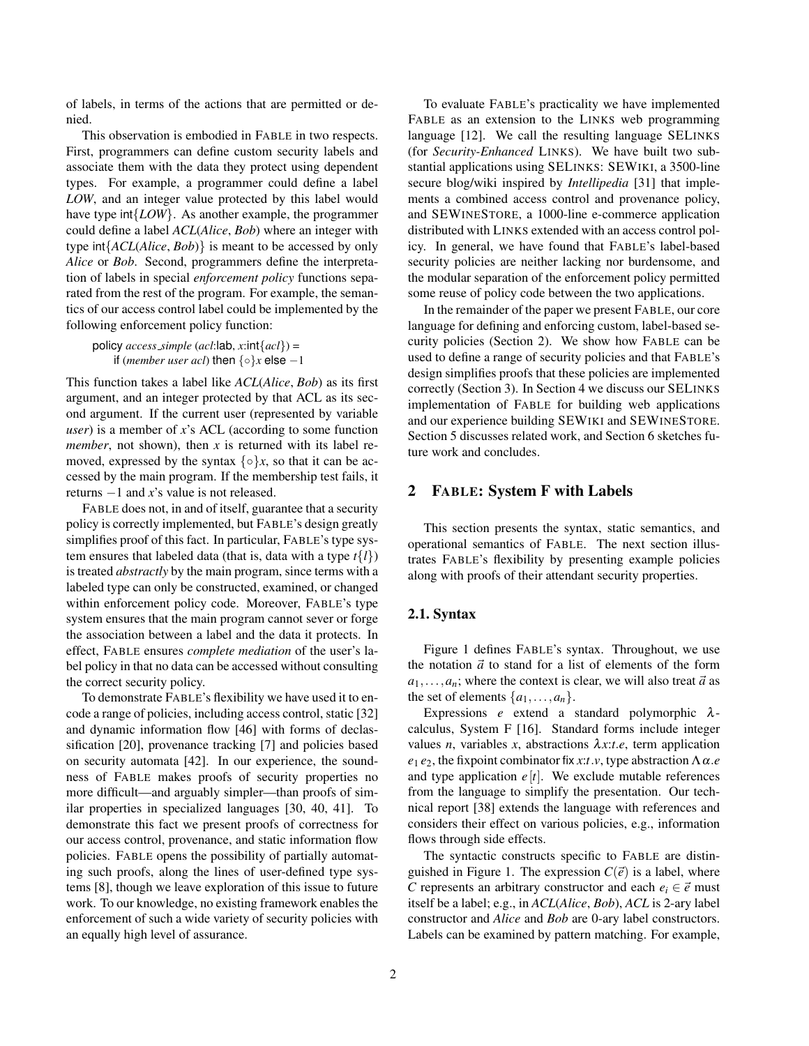of labels, in terms of the actions that are permitted or denied.

This observation is embodied in FABLE in two respects. First, programmers can define custom security labels and associate them with the data they protect using dependent types. For example, a programmer could define a label *LOW*, and an integer value protected by this label would have type int{*LOW*}. As another example, the programmer could define a label *ACL*(*Alice*, *Bob*) where an integer with type int{*ACL*(*Alice*, *Bob*)} is meant to be accessed by only *Alice* or *Bob*. Second, programmers define the interpretation of labels in special *enforcement policy* functions separated from the rest of the program. For example, the semantics of our access control label could be implemented by the following enforcement policy function:

```
policy access\_simple (acl:lab, x:int{acl}) =
if (member user acl) then {◦}x else −1
```
This function takes a label like *ACL*(*Alice*, *Bob*) as its first argument, and an integer protected by that ACL as its second argument. If the current user (represented by variable *user*) is a member of *x*'s ACL (according to some function *member*, not shown), then *x* is returned with its label removed, expressed by the syntax  $\{\circ\}x$ , so that it can be accessed by the main program. If the membership test fails, it returns −1 and *x*'s value is not released.

FABLE does not, in and of itself, guarantee that a security policy is correctly implemented, but FABLE's design greatly simplifies proof of this fact. In particular, FABLE's type system ensures that labeled data (that is, data with a type  $t\{l\}$ ) is treated *abstractly* by the main program, since terms with a labeled type can only be constructed, examined, or changed within enforcement policy code. Moreover, FABLE's type system ensures that the main program cannot sever or forge the association between a label and the data it protects. In effect, FABLE ensures *complete mediation* of the user's label policy in that no data can be accessed without consulting the correct security policy.

To demonstrate FABLE's flexibility we have used it to encode a range of policies, including access control, static [32] and dynamic information flow [46] with forms of declassification [20], provenance tracking [7] and policies based on security automata [42]. In our experience, the soundness of FABLE makes proofs of security properties no more difficult—and arguably simpler—than proofs of similar properties in specialized languages [30, 40, 41]. To demonstrate this fact we present proofs of correctness for our access control, provenance, and static information flow policies. FABLE opens the possibility of partially automating such proofs, along the lines of user-defined type systems [8], though we leave exploration of this issue to future work. To our knowledge, no existing framework enables the enforcement of such a wide variety of security policies with an equally high level of assurance.

To evaluate FABLE's practicality we have implemented FABLE as an extension to the LINKS web programming language [12]. We call the resulting language SELINKS (for *Security-Enhanced* LINKS). We have built two substantial applications using SELINKS: SEWIKI, a 3500-line secure blog/wiki inspired by *Intellipedia* [31] that implements a combined access control and provenance policy, and SEWINESTORE, a 1000-line e-commerce application distributed with LINKS extended with an access control policy. In general, we have found that FABLE's label-based security policies are neither lacking nor burdensome, and the modular separation of the enforcement policy permitted some reuse of policy code between the two applications.

In the remainder of the paper we present FABLE, our core language for defining and enforcing custom, label-based security policies (Section 2). We show how FABLE can be used to define a range of security policies and that FABLE's design simplifies proofs that these policies are implemented correctly (Section 3). In Section 4 we discuss our SELINKS implementation of FABLE for building web applications and our experience building SEWIKI and SEWINESTORE. Section 5 discusses related work, and Section 6 sketches future work and concludes.

## 2 FABLE: System F with Labels

This section presents the syntax, static semantics, and operational semantics of FABLE. The next section illustrates FABLE's flexibility by presenting example policies along with proofs of their attendant security properties.

### 2.1. Syntax

Figure 1 defines FABLE's syntax. Throughout, we use the notation  $\vec{a}$  to stand for a list of elements of the form  $a_1, \ldots, a_n$ ; where the context is clear, we will also treat  $\vec{a}$  as the set of elements  $\{a_1, \ldots, a_n\}.$ 

Expressions *e* extend a standard polymorphic λcalculus, System F [16]. Standard forms include integer values *n*, variables *x*, abstractions  $\lambda x$ :*t.e*, term application  $e_1 e_2$ , the fixpoint combinator fix *x*:*t*.*v*, type abstraction  $\Lambda \alpha.e$ and type application  $e[t]$ . We exclude mutable references from the language to simplify the presentation. Our technical report [38] extends the language with references and considers their effect on various policies, e.g., information flows through side effects.

The syntactic constructs specific to FABLE are distinguished in Figure 1. The expression  $C(\vec{e})$  is a label, where *C* represents an arbitrary constructor and each  $e_i \in \vec{e}$  must itself be a label; e.g., in *ACL*(*Alice*, *Bob*), *ACL* is 2-ary label constructor and *Alice* and *Bob* are 0-ary label constructors. Labels can be examined by pattern matching. For example,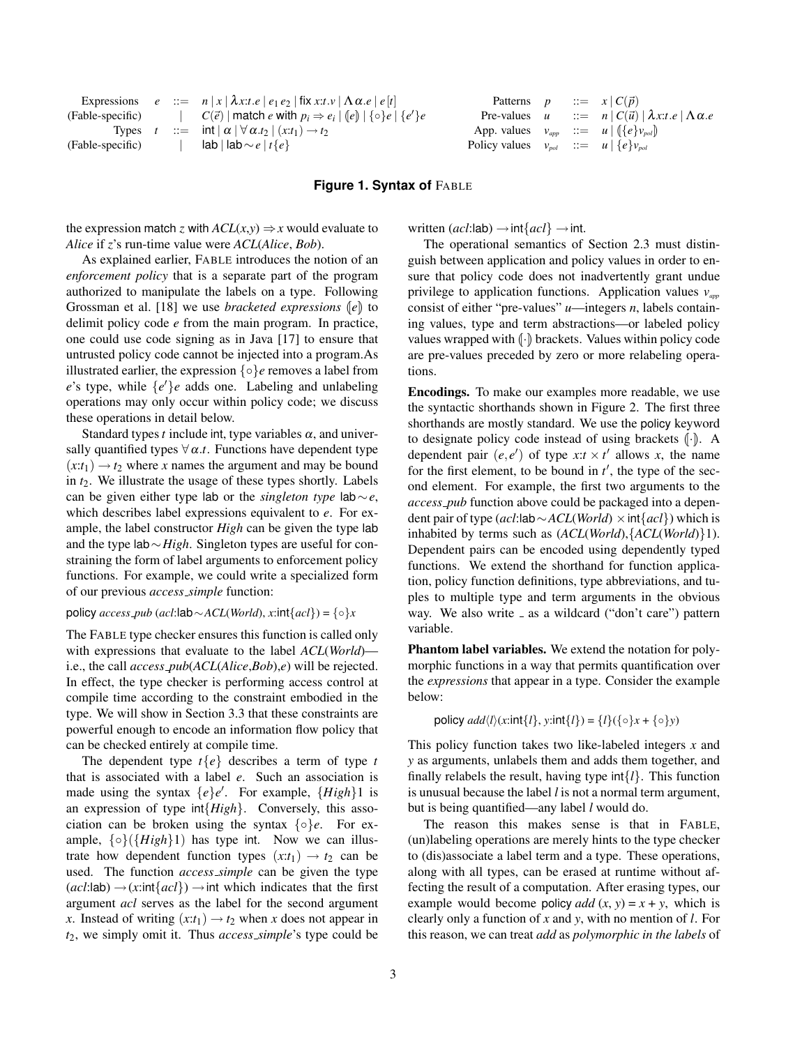|                  |  | Expressions $e ::= n   x   \lambda x : t \cdot e   e_1 e_2   \text{fix } x : t \cdot v   \Lambda \alpha \cdot e   e[t]$ | Patterns $p ::= x   C(\vec{p})$                    |  |                                                                        |
|------------------|--|-------------------------------------------------------------------------------------------------------------------------|----------------------------------------------------|--|------------------------------------------------------------------------|
| (Fable-specific) |  | $C(\vec{e})$   match e with $p_i \Rightarrow e_i   (e)   \{o\}e   \{e'\}e$                                              |                                                    |  | Pre-values $u ::= n   C(\vec{u})   \lambda x : t.e   \Lambda \alpha.e$ |
|                  |  | Types $t$ ::= $\int \alpha  \nabla \alpha \cdot t_2  (x:t_1) \rightarrow t_2$                                           |                                                    |  | App. values $v_{app}$ ::= $u \mid (\{e\}v_{pol})$                      |
| (Fable-specific) |  | $ ab   ab \sim e  t \{e\} $                                                                                             | Policy values $v_{pol}$ ::= $u \mid \{e\} v_{pol}$ |  |                                                                        |

#### **Figure 1. Syntax of** FABLE

the expression match *z* with  $ACL(x,y) \Rightarrow x$  would evaluate to *Alice* if *z*'s run-time value were *ACL*(*Alice*, *Bob*).

As explained earlier, FABLE introduces the notion of an *enforcement policy* that is a separate part of the program authorized to manipulate the labels on a type. Following Grossman et al. [18] we use *bracketed expressions* [e] to delimit policy code *e* from the main program. In practice, one could use code signing as in Java [17] to ensure that untrusted policy code cannot be injected into a program.As illustrated earlier, the expression {◦}*e* removes a label from  $e$ 's type, while  $\{e'\}e$  adds one. Labeling and unlabeling operations may only occur within policy code; we discuss these operations in detail below.

Standard types  $t$  include int, type variables  $\alpha$ , and universally quantified types  $\forall \alpha.t.$  Functions have dependent type  $(x:t_1) \rightarrow t_2$  where *x* names the argument and may be bound in *t*2. We illustrate the usage of these types shortly. Labels can be given either type lab or the *singleton type* lab∼*e*, which describes label expressions equivalent to *e*. For example, the label constructor *High* can be given the type lab and the type lab∼*High*. Singleton types are useful for constraining the form of label arguments to enforcement policy functions. For example, we could write a specialized form of our previous *access simple* function:

policy *access pub* (*acl*:lab∼*ACL*(*World*), *x*:int{*acl*}) = {◦}*x*

The FABLE type checker ensures this function is called only with expressions that evaluate to the label *ACL*(*World*) i.e., the call *access pub*(*ACL*(*Alice*,*Bob*),*e*) will be rejected. In effect, the type checker is performing access control at compile time according to the constraint embodied in the type. We will show in Section 3.3 that these constraints are powerful enough to encode an information flow policy that can be checked entirely at compile time.

The dependent type  $t\{e\}$  describes a term of type  $t$ that is associated with a label *e*. Such an association is made using the syntax  $\{e\}e'$ . For example,  $\{High\}1$  is an expression of type int{*High*}. Conversely, this association can be broken using the syntax {◦}*e*. For example,  $\{\circ\}(\{High\}1)$  has type int. Now we can illustrate how dependent function types  $(x:t_1) \rightarrow t_2$  can be used. The function *access simple* can be given the type  $(acl:lab) \rightarrow (x:int\{acl\}) \rightarrow int$  which indicates that the first argument *acl* serves as the label for the second argument *x*. Instead of writing  $(x:t_1) \rightarrow t_2$  when *x* does not appear in *t*2, we simply omit it. Thus *access simple*'s type could be written  $(\text{acl:lab}) \rightarrow \text{int}\{\text{acl}\}\rightarrow \text{int}.$ 

The operational semantics of Section 2.3 must distinguish between application and policy values in order to ensure that policy code does not inadvertently grant undue privilege to application functions. Application values  $v_{\text{max}}$ consist of either "pre-values" *u*—integers *n*, labels containing values, type and term abstractions—or labeled policy values wrapped with  $(\cdot)$  brackets. Values within policy code are pre-values preceded by zero or more relabeling operations.

Encodings. To make our examples more readable, we use the syntactic shorthands shown in Figure 2. The first three shorthands are mostly standard. We use the policy keyword to designate policy code instead of using brackets  $(\cdot)$ . A dependent pair  $(e, e')$  of type  $x: t \times t'$  allows *x*, the name for the first element, to be bound in  $t'$ , the type of the second element. For example, the first two arguments to the *access pub* function above could be packaged into a dependent pair of type (*acl*:lab∼*ACL*(*World*) ×int{*acl*}) which is inhabited by terms such as (*ACL*(*World*),{*ACL*(*World*)}1). Dependent pairs can be encoded using dependently typed functions. We extend the shorthand for function application, policy function definitions, type abbreviations, and tuples to multiple type and term arguments in the obvious way. We also write  $\Delta$  as a wildcard ("don't care") pattern variable.

Phantom label variables. We extend the notation for polymorphic functions in a way that permits quantification over the *expressions* that appear in a type. Consider the example below:

 $\text{policy } add \langle l \rangle(x:\text{int}\{l\}, y:\text{int}\{l\}) = \{l\}(\{\circ\}x + \{\circ\}y)$ 

This policy function takes two like-labeled integers *x* and *y* as arguments, unlabels them and adds them together, and finally relabels the result, having type int{*l*}. This function is unusual because the label *l* is not a normal term argument, but is being quantified—any label *l* would do.

The reason this makes sense is that in FABLE, (un)labeling operations are merely hints to the type checker to (dis)associate a label term and a type. These operations, along with all types, can be erased at runtime without affecting the result of a computation. After erasing types, our example would become policy *add*  $(x, y) = x + y$ , which is clearly only a function of *x* and *y*, with no mention of *l*. For this reason, we can treat *add* as *polymorphic in the labels* of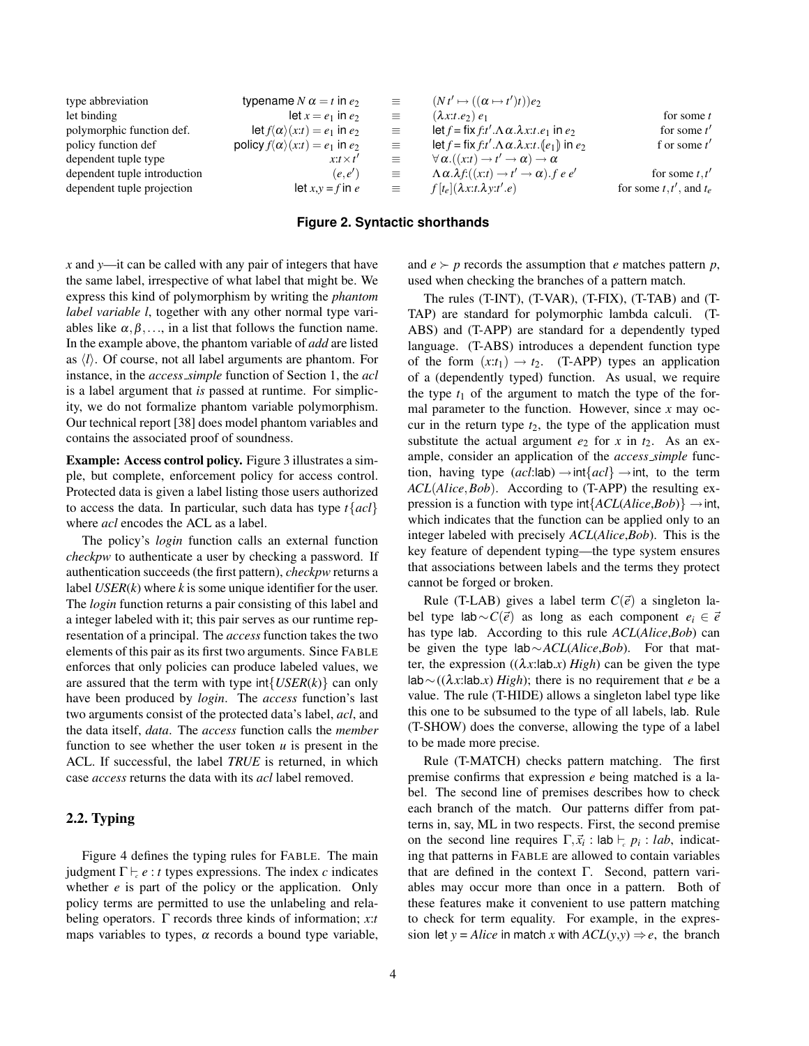| type abbreviation            | typename $N \alpha = t$ in $e_2$                     | $\equiv$ | $(N t' \mapsto ((\alpha \mapsto t')t))e_2$                                            |                           |
|------------------------------|------------------------------------------------------|----------|---------------------------------------------------------------------------------------|---------------------------|
| let binding                  | let $x = e_1$ in $e_2$                               | $\equiv$ | $(\lambda x: t.e_2)$ $e_1$                                                            | for some t                |
| polymorphic function def.    | $\det f(\alpha)(x:t) = e_1$ in $e_2$                 | $\equiv$ | let $f = f$ fix $f : t' \cdot \Lambda \alpha \cdot \lambda x : t \cdot e_1$ in $e_2$  | for some $t'$             |
| policy function def          | policy $f\langle \alpha \rangle(x:t) = e_1$ in $e_2$ | $\equiv$ | let $f = f$ ix $f : t' \cdot \Lambda \alpha \cdot \lambda x : t \cdot (e_1)$ in $e_2$ | f or some $t'$            |
| dependent tuple type         | $x:t\times t'$                                       | $\equiv$ | $\forall \alpha. ((x:t) \rightarrow t' \rightarrow \alpha) \rightarrow \alpha$        |                           |
| dependent tuple introduction | (e,e')                                               | $\equiv$ | $\Lambda \alpha . \lambda f: ((x:t) \rightarrow t' \rightarrow \alpha). f e e'$       | for some $t, t'$          |
| dependent tuple projection   | let $x,y=f$ in e                                     | $\equiv$ | $f[t_e](\lambda x : t \cdot \lambda y : t'.e)$                                        | for some t, t', and $t_e$ |

#### **Figure 2. Syntactic shorthands**

*x* and *y*—it can be called with any pair of integers that have the same label, irrespective of what label that might be. We express this kind of polymorphism by writing the *phantom label variable l*, together with any other normal type variables like  $\alpha, \beta, \ldots$ , in a list that follows the function name. In the example above, the phantom variable of *add* are listed as  $\langle l \rangle$ . Of course, not all label arguments are phantom. For instance, in the *access simple* function of Section 1, the *acl* is a label argument that *is* passed at runtime. For simplicity, we do not formalize phantom variable polymorphism. Our technical report [38] does model phantom variables and contains the associated proof of soundness.

Example: Access control policy. Figure 3 illustrates a simple, but complete, enforcement policy for access control. Protected data is given a label listing those users authorized to access the data. In particular, such data has type *t*{*acl*} where *acl* encodes the ACL as a label.

The policy's *login* function calls an external function *checkpw* to authenticate a user by checking a password. If authentication succeeds (the first pattern), *checkpw* returns a label *USER*(*k*) where *k* is some unique identifier for the user. The *login* function returns a pair consisting of this label and a integer labeled with it; this pair serves as our runtime representation of a principal. The *access* function takes the two elements of this pair as its first two arguments. Since FABLE enforces that only policies can produce labeled values, we are assured that the term with type  $int{USER(k)}$  can only have been produced by *login*. The *access* function's last two arguments consist of the protected data's label, *acl*, and the data itself, *data*. The *access* function calls the *member* function to see whether the user token *u* is present in the ACL. If successful, the label *TRUE* is returned, in which case *access* returns the data with its *acl* label removed.

### 2.2. Typing

Figure 4 defines the typing rules for FABLE. The main judgment  $\Gamma \vdash_{c} e : t$  types expressions. The index *c* indicates whether *e* is part of the policy or the application. Only policy terms are permitted to use the unlabeling and relabeling operators. Γ records three kinds of information; *x*:*t* maps variables to types,  $\alpha$  records a bound type variable, and  $e \succ p$  records the assumption that *e* matches pattern *p*, used when checking the branches of a pattern match.

The rules (T-INT), (T-VAR), (T-FIX), (T-TAB) and (T-TAP) are standard for polymorphic lambda calculi. (T-ABS) and (T-APP) are standard for a dependently typed language. (T-ABS) introduces a dependent function type of the form  $(x:t_1) \rightarrow t_2$ . (T-APP) types an application of a (dependently typed) function. As usual, we require the type  $t_1$  of the argument to match the type of the formal parameter to the function. However, since *x* may occur in the return type  $t_2$ , the type of the application must substitute the actual argument  $e_2$  for  $x$  in  $t_2$ . As an example, consider an application of the *access simple* function, having type  $(acl:lab) \rightarrow int\{acl\} \rightarrow int$ , to the term *ACL*(*Alice*,*Bob*). According to (T-APP) the resulting expression is a function with type  $int{ACL(Alice, Bob)} \rightarrow int$ , which indicates that the function can be applied only to an integer labeled with precisely *ACL*(*Alice*,*Bob*). This is the key feature of dependent typing—the type system ensures that associations between labels and the terms they protect cannot be forged or broken.

Rule (T-LAB) gives a label term  $C(\vec{e})$  a singleton label type lab∼*C*( $\vec{e}$ ) as long as each component  $e_i \in \vec{e}$ has type lab. According to this rule *ACL*(*Alice*,*Bob*) can be given the type lab∼*ACL*(*Alice*,*Bob*). For that matter, the expression  $((\lambda x \text{:} \text{lab.} x) \text{ High})$  can be given the type lab∼((λ*x*:lab.*x*) *High*); there is no requirement that *e* be a value. The rule (T-HIDE) allows a singleton label type like this one to be subsumed to the type of all labels, lab. Rule (T-SHOW) does the converse, allowing the type of a label to be made more precise.

Rule (T-MATCH) checks pattern matching. The first premise confirms that expression *e* being matched is a label. The second line of premises describes how to check each branch of the match. Our patterns differ from patterns in, say, ML in two respects. First, the second premise on the second line requires  $\Gamma$ ,  $\vec{x_i}$  : lab  $\vdash$  *p<sub>i</sub>* : *lab*, indicating that patterns in FABLE are allowed to contain variables that are defined in the context Γ. Second, pattern variables may occur more than once in a pattern. Both of these features make it convenient to use pattern matching to check for term equality. For example, in the expression let *y* = *Alice* in match *x* with  $ACL(y, y) \Rightarrow e$ , the branch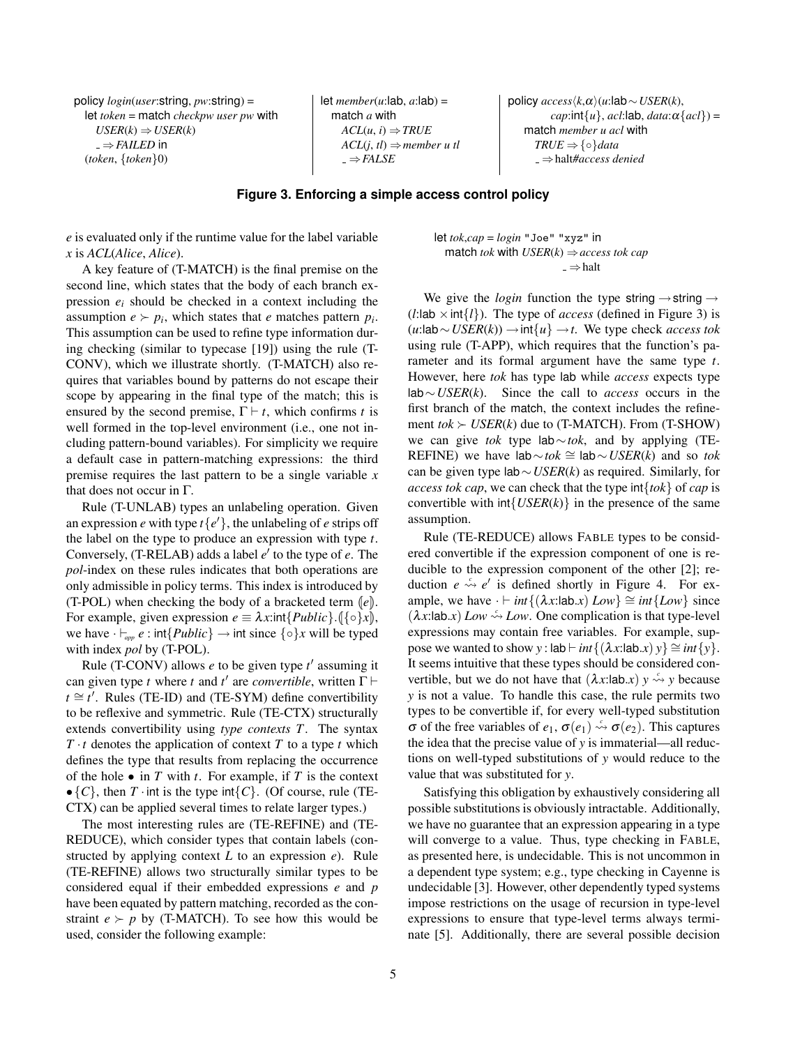policy *login*(*user*:string, *pw*:string) = let *token* = match *checkpw user pw* with  $USER(k) \Rightarrow USER(k)$ ⇒*FAILED* in (*token*, {*token*}0)

let *member*(*u*:lab, *a*:lab) = match *a* with  $ACL(u, i) \Rightarrow TRUE$  $ACL(j, tl) \Rightarrow member u tl$ ⇒*FALSE*

 $\text{policy } access\langle k, \alpha \rangle$ (*u*:lab ∼ *USER*(*k*), *cap*:int{*u*}, *acl*:lab, *data*:α{*acl*}) = match *member u acl* with  $TRUE \Rightarrow \{ \circ \} data$ ⇒halt*#access denied*

#### **Figure 3. Enforcing a simple access control policy**

*e* is evaluated only if the runtime value for the label variable *x* is *ACL*(*Alice*, *Alice*).

A key feature of (T-MATCH) is the final premise on the second line, which states that the body of each branch expression  $e_i$  should be checked in a context including the assumption  $e \succ p_i$ , which states that *e* matches pattern  $p_i$ . This assumption can be used to refine type information during checking (similar to typecase [19]) using the rule (T-CONV), which we illustrate shortly. (T-MATCH) also requires that variables bound by patterns do not escape their scope by appearing in the final type of the match; this is ensured by the second premise,  $\Gamma \vdash t$ , which confirms *t* is well formed in the top-level environment (i.e., one not including pattern-bound variables). For simplicity we require a default case in pattern-matching expressions: the third premise requires the last pattern to be a single variable *x* that does not occur in  $\Gamma$ .

Rule (T-UNLAB) types an unlabeling operation. Given an expression *e* with type  $t\{e'\}$ , the unlabeling of *e* strips off the label on the type to produce an expression with type *t*. Conversely, (T-RELAB) adds a label  $e'$  to the type of  $e$ . The *pol*-index on these rules indicates that both operations are only admissible in policy terms. This index is introduced by (T-POL) when checking the body of a bracketed term  $[e]$ . For example, given expression  $e \equiv \lambda x$ :int $\{Public\}$ . $(\{\circ\}x)$ , we have  $\cdot \vdash_{\textit{app}} e : \textit{int}\{\textit{Public}\} \rightarrow \textit{int} \text{ since } \{\circ\}x \text{ will be typed}$ with index *pol* by (T-POL).

Rule (T-CONV) allows *e* to be given type *t'* assuming it can given type *t* where *t* and *t'* are *convertible*, written  $\Gamma \vdash$  $t \approx t'$ . Rules (TE-ID) and (TE-SYM) define convertibility to be reflexive and symmetric. Rule (TE-CTX) structurally extends convertibility using *type contexts T*. The syntax *T* ·*t* denotes the application of context *T* to a type *t* which defines the type that results from replacing the occurrence of the hole  $\bullet$  in *T* with *t*. For example, if *T* is the context  $\bullet \{C\}$ , then *T* · int is the type int $\{C\}$ . (Of course, rule (TE-CTX) can be applied several times to relate larger types.)

The most interesting rules are (TE-REFINE) and (TE-REDUCE), which consider types that contain labels (constructed by applying context *L* to an expression *e*). Rule (TE-REFINE) allows two structurally similar types to be considered equal if their embedded expressions *e* and *p* have been equated by pattern matching, recorded as the constraint  $e \succ p$  by (T-MATCH). To see how this would be used, consider the following example:

let *tok*,*cap* = *login* "Joe" "xyz" in match *tok* with *USER*(*k*) ⇒*access tok cap* ⇒halt

We give the *login* function the type string  $\rightarrow$  string  $\rightarrow$ (*l*:lab  $\times$  int{*l*}). The type of *access* (defined in Figure 3) is (*u*:lab∼*USER*(*k*)) →int{*u*} →*t*. We type check *access tok* using rule (T-APP), which requires that the function's parameter and its formal argument have the same type *t*. However, here *tok* has type lab while *access* expects type lab∼*USER*(*k*). Since the call to *access* occurs in the first branch of the match, the context includes the refinement  $tok \succ \text{USER}(k)$  due to (T-MATCH). From (T-SHOW) we can give *tok* type lab∼*tok*, and by applying (TE-REFINE) we have lab∼*tok*  $\cong$  lab∼*USER*(*k*) and so *tok* can be given type lab∼*USER*(*k*) as required. Similarly, for *access tok cap*, we can check that the type int{*tok*} of *cap* is convertible with  $int{USER(k)}$  in the presence of the same assumption.

Rule (TE-REDUCE) allows FABLE types to be considered convertible if the expression component of one is reducible to the expression component of the other [2]; reduction  $e \stackrel{c}{\leadsto} e'$  is defined shortly in Figure 4. For example, we have  $·$  *int*{( $\lambda x$ :lab.*x*) *Low*} ≅ *int*{*Low*} since  $(\lambda x: \text{lab.}x)$  *Low*  $\stackrel{\circ}{\leadsto}$  *Low.* One complication is that type-level expressions may contain free variables. For example, suppose we wanted to show *y* : lab  $\vdash int\{(\lambda x: \text{lab.}x) \, y\} \cong int\{y\}.$ It seems intuitive that these types should be considered convertible, but we do not have that  $(\lambda x: \text{lab.}x)$  *y*  $\stackrel{c}{\leadsto}$  *y* because *y* is not a value. To handle this case, the rule permits two types to be convertible if, for every well-typed substitution  $\sigma$  of the free variables of  $e_1$ ,  $\sigma(e_1) \stackrel{c}{\leadsto} \sigma(e_2)$ . This captures the idea that the precise value of *y* is immaterial—all reductions on well-typed substitutions of *y* would reduce to the value that was substituted for *y*.

Satisfying this obligation by exhaustively considering all possible substitutions is obviously intractable. Additionally, we have no guarantee that an expression appearing in a type will converge to a value. Thus, type checking in FABLE, as presented here, is undecidable. This is not uncommon in a dependent type system; e.g., type checking in Cayenne is undecidable [3]. However, other dependently typed systems impose restrictions on the usage of recursion in type-level expressions to ensure that type-level terms always terminate [5]. Additionally, there are several possible decision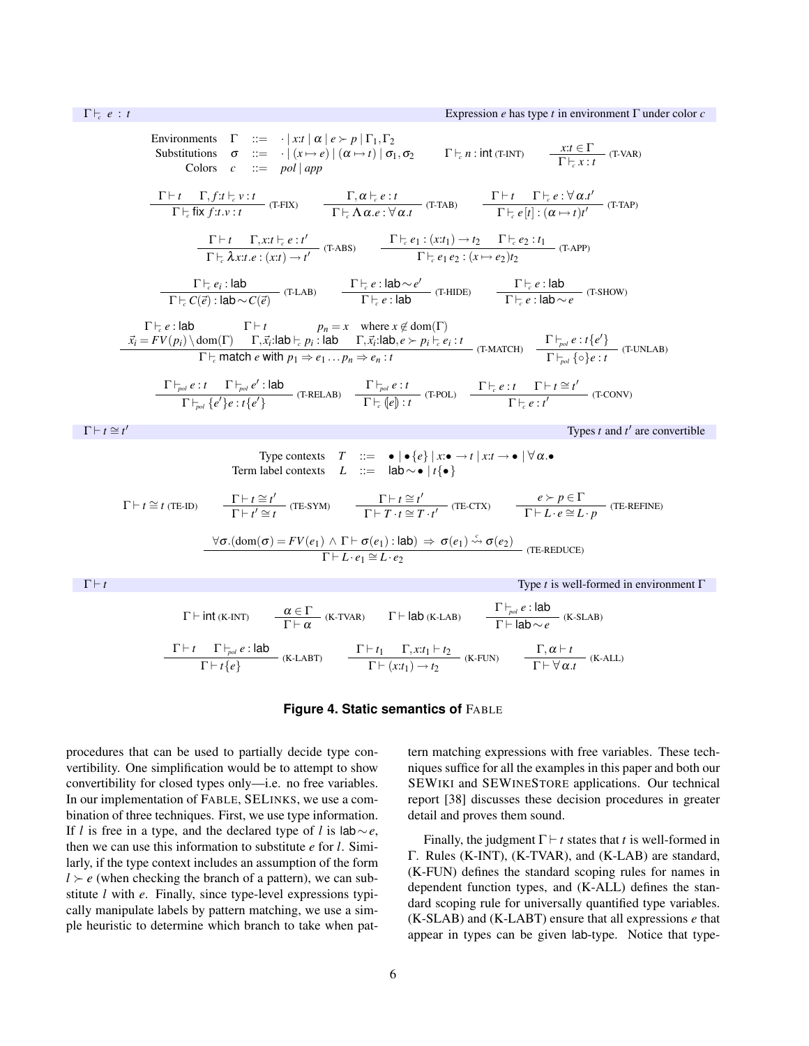Environments  $\Gamma$  ::=  $\cdot | x : t | \alpha | e \succ p | \Gamma_1, \Gamma_2$ Substitutions  $\sigma$  ::=  $\left| \begin{array}{cc} (x \mapsto e) \ ( \alpha \mapsto t) \end{array} \right| \sigma_1, \sigma_2$   $\Gamma \vdash_e n : \text{int} \text{ (T-N) }$   $\frac{xt \in \Gamma}{\Gamma \vdash_e x : t}$  (T-VAR) Colors  $c$  ::=  $pol | app$  $\Gamma \vdash t \quad \Gamma, f : t \vdash_c v : t$  $\frac{\Gamma}{\Gamma\vdash_c \text{fix } f: t.v.t}$  (T-FIX)  $\qquad \frac{\Gamma, \alpha \vdash_c e:t}{\Gamma\vdash_c \Lambda\alpha.e:\forall}$  $\frac{\Gamma, \alpha \vdash_{c} e : t}{\Gamma \vdash_{c} \Lambda \alpha.e : \forall \alpha.t}$  (T-TAB)  $\frac{\Gamma \vdash t \quad \Gamma \vdash_{c} e : \forall \alpha.t'}{\Gamma \vdash_{c} e[t] : (\alpha \mapsto t)t'}$  $\Gamma \vdash_{c} e[t] : (\alpha \mapsto t)t'$  (T-TAP)  $\Gamma \vdash t \quad \Gamma, x : t \vdash_c e : t'$  $\Gamma \vdash t \quad \Gamma, x:t \vdash_{c} e : t' \quad \Gamma \vdash_{c} e_{1} : (x:t_{1}) \rightarrow t_{2} \quad \Gamma \vdash_{c} e_{2} : t_{1} \quad \Gamma \vdash_{c} \lambda x.t.e : (x:t) \rightarrow t' \quad \Gamma \vdash_{c} e_{1} e_{2} : (x \mapsto e_{2}) t_{2}$  $\Gamma \vdash_{c} e_{1} e_{2} : (x \mapsto e_{2}) t_{2}$  (T-APP)  $\Gamma\vdash_{\scriptscriptstyle c} e_i$  : lab  $\frac{\Gamma \vdash_c e_i : \textsf{lab}}{\Gamma \vdash_c C(\vec{e}) : \textsf{lab} \sim c'(\vec{e})}$  (T-LAB)  $\frac{\Gamma \vdash_c e : \textsf{lab} \sim e'}{\Gamma \vdash_c e : \textsf{lab}}$  $\frac{\Gamma_c \, e : \textsf{lab} \!\sim\! e'}{\Gamma \vdash_c e : \textsf{lab}} \quad \frac{\Gamma \vdash_c e : \textsf{lab}}{\Gamma \vdash_c e : \textsf{lab} \!\sim}$  $\frac{c}{\Gamma\vdash_c e : \textsf{lab} \sim e}$  (T-SHOW)  $\Gamma \vdash_c e : \text{lab}$   $\Gamma \vdash t$   $p_n = x$  where  $x \not\in \text{dom}(\Gamma)$  $\vec{x_i} = FV(p_i) \setminus \text{dom}(\Gamma)$   $\Gamma, \vec{x_i}$ :lab  $\vdash_c p_i$ :lab  $\Gamma, \vec{x_i}$ :lab, $e \succ p_i \vdash_c e_i : t$  $\frac{\text{dom}(\Gamma)}{\Gamma \vdash_{\text{pol}}} \frac{\Gamma, \vec{x_i} : \text{lab } \vdash_{\text{c}} p_i : \text{lab}}{\Gamma \vdash_{\text{c}} \text{match } e \text{ with } p_1 \Rightarrow e_1 \dots p_n \Rightarrow e_n : t}$  (T-MATCH)  $\frac{\Gamma \vdash_{\text{pol}} e : t \{e'\}}{\Gamma \vdash_{\text{pol}} \{e\} e : t}$  $\Gamma \vdash_{pol} \{ \circ \} e : t$ <sup>(T-UNLAB)</sup>  $\Gamma \vdash_{pol} e : t \quad \Gamma \vdash_{pol} e' : \mathsf{lab}$  $\frac{\Gamma \vdash_{pol} e : t \qquad \Gamma \vdash_{pol} e' : \textsf{lab}}{\Gamma \vdash_{pol} \{e'\}e : t\{e'\}} \qquad \textsf{(T-RELAB)} \qquad \frac{\Gamma \vdash_{pol} e : t}{\Gamma \vdash_{\mathbb{C}} \left(e\right) :}$  $\frac{\Gamma \vdash_{pol} e : t}{\Gamma \vdash_{c} (e) : t}$  (T-POL)  $\frac{\Gamma \vdash_{c} e : t \quad \Gamma \vdash t \cong t'}{\Gamma \vdash_{c} e : t'}$  $\Gamma \vdash_{c} e : t'$  (T-CONV)  $\Gamma \vdash t \cong t'$ <sup>0</sup> Types *t* and *t* ' are convertible

> Type contexts  $T$  ::=  $\bullet | \bullet \{e\} | x:\bullet \to t | x:t \to \bullet | \forall \alpha.\bullet$ Term label contexts *L* ::=  $\vert ab \sim \bullet \vert t \{ \bullet \} \vert$

$$
\Gamma \vdash t \cong t \text{ (TE-ID)} \qquad \frac{\Gamma \vdash t \cong t'}{\Gamma \vdash t' \cong t} \text{ (TE-SYM)} \qquad \frac{\Gamma \vdash t \cong t'}{\Gamma \vdash T \cdot t \cong T \cdot t'} \text{ (TE-CTX)} \qquad \frac{e \succ p \in \Gamma}{\Gamma \vdash L \cdot e \cong L \cdot p} \text{ (TE-REFINE)}\frac{\forall \sigma.(\text{dom}(\sigma) = FV(e_1) \land \Gamma \vdash \sigma(e_1) : \text{lab}) \Rightarrow \sigma(e_1) \stackrel{\epsilon}{\leadsto} \sigma(e_2)}{\Gamma \vdash L \cdot e_1 \cong L \cdot e_2} \text{ (TE-REDUCE)}
$$

$$
\Gamma \vdash t
$$
 Type *t* is well-formed in environment  $\Gamma$ 

 $\Gamma \vdash \mathsf{int} \ (K\text{-INT}) \qquad \frac{\alpha \in \Gamma}{\Gamma \vdash \alpha} \ (K\text{-TVAR}) \qquad \Gamma \vdash \mathsf{lab} \ (K\text{-LAB}) \qquad \frac{\Gamma \vdash_{pol} e : \mathsf{lab}}{\Gamma \vdash \mathsf{lab} \sim e}$  $\frac{F}{\Gamma \vdash \textsf{lab} \sim e}$  (K-SLAB)  $\Gamma \vdash t \quad \Gamma \vdash_{pol} e : \textsf{lab}$  $\frac{\Gamma \vdash_{pol} e : \text{lab}}{\Gamma \vdash t \{e\}}$  (K-LABT)  $\frac{\Gamma \vdash t_1 \quad \Gamma, x : t_1 \vdash t_2}{\Gamma \vdash (x : t_1) \rightarrow t_2}$  $\frac{-t_1}{\Gamma \vdash (x:t_1) \rightarrow t_2}$  (K-FUN)  $\frac{\Gamma, \alpha \vdash t}{\Gamma \vdash \forall \alpha}$  $\frac{1}{\Gamma \vdash \forall \alpha.t}$  (K-ALL)

#### **Figure 4. Static semantics of** FABLE

procedures that can be used to partially decide type convertibility. One simplification would be to attempt to show convertibility for closed types only—i.e. no free variables. In our implementation of FABLE, SELINKS, we use a combination of three techniques. First, we use type information. If *l* is free in a type, and the declared type of *l* is lab∼*e*, then we can use this information to substitute *e* for *l*. Similarly, if the type context includes an assumption of the form  $l \succ e$  (when checking the branch of a pattern), we can substitute *l* with *e*. Finally, since type-level expressions typically manipulate labels by pattern matching, we use a simple heuristic to determine which branch to take when pattern matching expressions with free variables. These techniques suffice for all the examples in this paper and both our SEWIKI and SEWINESTORE applications. Our technical report [38] discusses these decision procedures in greater detail and proves them sound.

Finally, the judgment  $\Gamma \vdash t$  states that *t* is well-formed in Γ. Rules (K-INT), (K-TVAR), and (K-LAB) are standard, (K-FUN) defines the standard scoping rules for names in dependent function types, and (K-ALL) defines the standard scoping rule for universally quantified type variables. (K-SLAB) and (K-LABT) ensure that all expressions *e* that appear in types can be given lab-type. Notice that type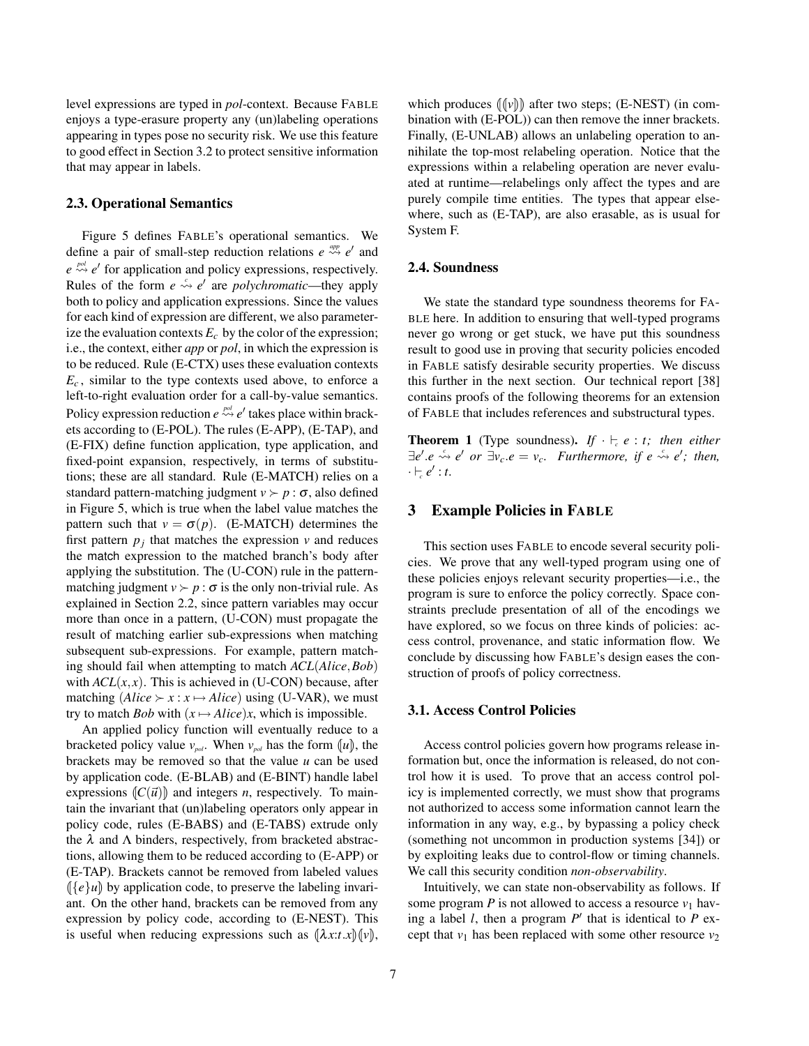level expressions are typed in *pol*-context. Because FABLE enjoys a type-erasure property any (un)labeling operations appearing in types pose no security risk. We use this feature to good effect in Section 3.2 to protect sensitive information that may appear in labels.

### 2.3. Operational Semantics

Figure 5 defines FABLE's operational semantics. We define a pair of small-step reduction relations  $e \stackrel{app}{\leadsto} e'$  and  $e \stackrel{pol}{\leadsto} e'$  for application and policy expressions, respectively. Rules of the form  $e \stackrel{c}{\leadsto} e'$  are *polychromatic*—they apply both to policy and application expressions. Since the values for each kind of expression are different, we also parameterize the evaluation contexts  $E_c$  by the color of the expression; i.e., the context, either *app* or *pol*, in which the expression is to be reduced. Rule (E-CTX) uses these evaluation contexts  $E_c$ , similar to the type contexts used above, to enforce a left-to-right evaluation order for a call-by-value semantics. Policy expression reduction  $e \stackrel{pol}{\leadsto} e'$  takes place within brackets according to (E-POL). The rules (E-APP), (E-TAP), and (E-FIX) define function application, type application, and fixed-point expansion, respectively, in terms of substitutions; these are all standard. Rule (E-MATCH) relies on a standard pattern-matching judgment  $v \succ p : \sigma$ , also defined in Figure 5, which is true when the label value matches the pattern such that  $v = \sigma(p)$ . (E-MATCH) determines the first pattern  $p_j$  that matches the expression  $v$  and reduces the match expression to the matched branch's body after applying the substitution. The (U-CON) rule in the patternmatching judgment  $v \succ p : \sigma$  is the only non-trivial rule. As explained in Section 2.2, since pattern variables may occur more than once in a pattern, (U-CON) must propagate the result of matching earlier sub-expressions when matching subsequent sub-expressions. For example, pattern matching should fail when attempting to match *ACL*(*Alice*,*Bob*) with  $ACL(x, x)$ . This is achieved in (U-CON) because, after matching ( $Alice \succ x : x \mapsto Alice$ ) using (U-VAR), we must try to match *Bob* with  $(x \mapsto Alice)x$ , which is impossible.

An applied policy function will eventually reduce to a bracketed policy value  $v_{pol}$ . When  $v_{pol}$  has the form  $(u)$ , the brackets may be removed so that the value *u* can be used by application code. (E-BLAB) and (E-BINT) handle label expressions  $(C(\vec{u}))$  and integers *n*, respectively. To maintain the invariant that (un)labeling operators only appear in policy code, rules (E-BABS) and (E-TABS) extrude only the  $\lambda$  and  $\Lambda$  binders, respectively, from bracketed abstractions, allowing them to be reduced according to (E-APP) or (E-TAP). Brackets cannot be removed from labeled values  $({e}u)$  by application code, to preserve the labeling invariant. On the other hand, brackets can be removed from any expression by policy code, according to (E-NEST). This is useful when reducing expressions such as  $(\lambda x : t.x)(\nu)$ ,

which produces  $(\lceil \nu \rceil)$  after two steps; (E-NEST) (in combination with (E-POL)) can then remove the inner brackets. Finally, (E-UNLAB) allows an unlabeling operation to annihilate the top-most relabeling operation. Notice that the expressions within a relabeling operation are never evaluated at runtime—relabelings only affect the types and are purely compile time entities. The types that appear elsewhere, such as (E-TAP), are also erasable, as is usual for System F.

#### 2.4. Soundness

We state the standard type soundness theorems for FA-BLE here. In addition to ensuring that well-typed programs never go wrong or get stuck, we have put this soundness result to good use in proving that security policies encoded in FABLE satisfy desirable security properties. We discuss this further in the next section. Our technical report [38] contains proofs of the following theorems for an extension of FABLE that includes references and substructural types.

**Theorem 1** (Type soundness). If  $\cdot \vdash_c e : t$ ; then either  $\exists e'.e \stackrel{c}{\leadsto} e'$  or  $\exists v_c.e = v_c$ . Furthermore, if  $e \stackrel{c}{\leadsto} e'$ ; then,  $\cdot \vdash_{c} e' : t.$ 

## 3 Example Policies in FABLE

This section uses FABLE to encode several security policies. We prove that any well-typed program using one of these policies enjoys relevant security properties—i.e., the program is sure to enforce the policy correctly. Space constraints preclude presentation of all of the encodings we have explored, so we focus on three kinds of policies: access control, provenance, and static information flow. We conclude by discussing how FABLE's design eases the construction of proofs of policy correctness.

#### 3.1. Access Control Policies

Access control policies govern how programs release information but, once the information is released, do not control how it is used. To prove that an access control policy is implemented correctly, we must show that programs not authorized to access some information cannot learn the information in any way, e.g., by bypassing a policy check (something not uncommon in production systems [34]) or by exploiting leaks due to control-flow or timing channels. We call this security condition *non-observability*.

Intuitively, we can state non-observability as follows. If some program *P* is not allowed to access a resource  $v_1$  having a label  $l$ , then a program  $P'$  that is identical to  $P$  except that  $v_1$  has been replaced with some other resource  $v_2$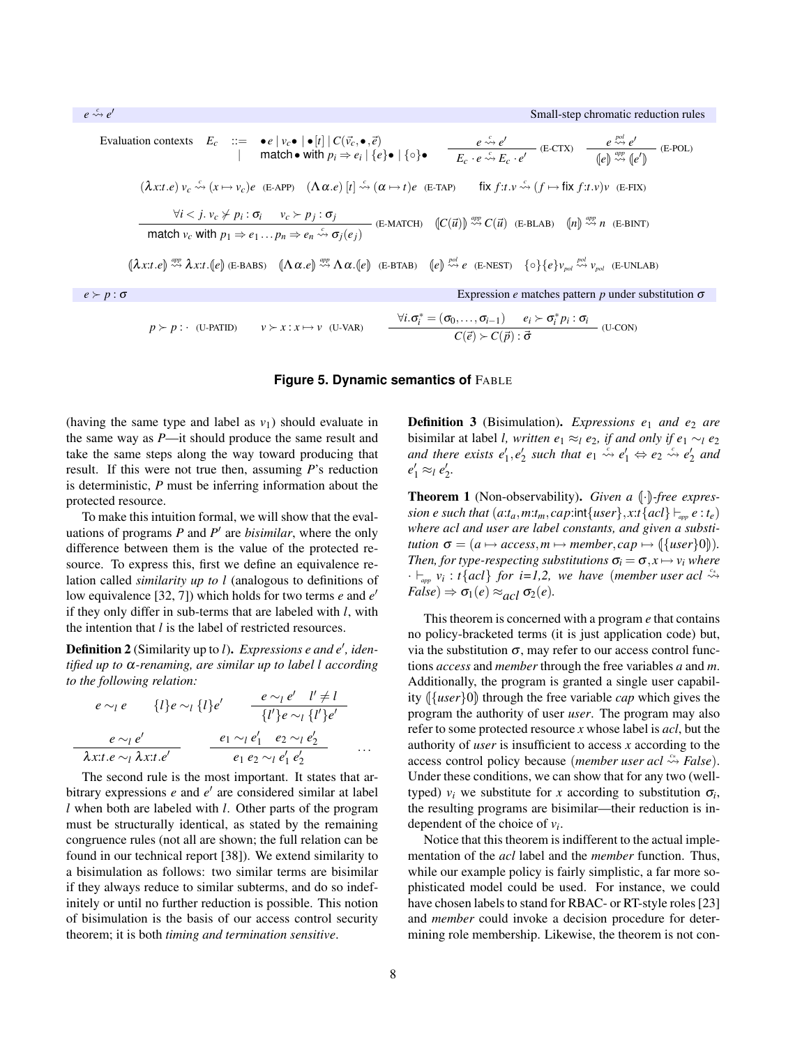Small-step chromatic reduction rules

Evaluation contexts  $E_c$  ::=  $\bullet e | v_c \bullet | \bullet [t] | C(\vec{v}_c, \bullet, \vec{e})$ | match  $\bullet$  with  $p_i$   $\Rightarrow$   $e_i$   $\mid$   $\{e\} \bullet$   $\mid$   $\{\circ\} \bullet$  $e \stackrel{c}{\leadsto} e'$  $\frac{e^{-c} \leftrightarrow e'}{E_c \cdot e^{-c}}$  (E-CTX)  $\frac{e^{-pcl} \rightarrow e'}{e^{nq} \rightarrow e'}$  $\frac{(\mathbf{e}) \stackrel{app}{\sim} (\mathbf{e}')}{(\mathbf{e}) \stackrel{app}{\sim} (\mathbf{e}')}$  (E-POL)  $(\lambda x : t.e) v_c \stackrel{c}{\leadsto} (x \mapsto v_c)e$  (E-APP)  $(\Lambda \alpha . e) [t] \stackrel{c}{\leadsto} (\alpha \mapsto t)e$  (E-TAP) fix  $f : t.v \stackrel{c}{\leadsto} (f \mapsto \text{fix } f : t.v) v$  (E-FIX)  $\forall i \leq j$ .  $v_c \not\geq p_i : \sigma_i \quad v_c \succ p_j : \sigma_j$ match  $v_c$  with  $p_1 \Rightarrow e_1 \dots p_n \Rightarrow e_n \stackrel{c}{\leadsto} \sigma_j(e_j)$  $(E\text{-}MATCH)$   $\left(\frac{\partial C(\vec{u})}{\partial \vec{v}}\right) \stackrel{app}{\sim} C(\vec{u})$   $(E\text{-}BLAB)$   $\left(\frac{\partial np}{\partial \vec{v}}\right) \stackrel{app}{\sim} n$   $(E\text{-}BINT)$  $(\lambda x:t.e) \stackrel{app}{\rightsquigarrow} \lambda x:t.\big[e\big]$  (E-BABS)  $(\Lambda \alpha.e) \stackrel{app}{\rightsquigarrow} \Lambda \alpha.\big[e]$  (E-BTAB)  $\big[e\big] \stackrel{pol}{\rightsquigarrow} e$  (E-NEST)  $\{ \circ \} \{e\} v_{pol} \stackrel{pol}{\rightsquigarrow} v_{pol}$  (E-UNLAB)  $e \succ p : \sigma$  Expression *e* matches pattern *p* under substitution  $\sigma$  $p \succ p$  : · (U-PATID)  $v \succ x$  :  $x \mapsto v$  (U-VAR)  $\forall i. \sigma_i^* = (\sigma_0, \ldots, \sigma_{i-1}) \quad e_i \succ \sigma_i^* p_i : \sigma_i$  $C(\vec{e}) \succ C(\vec{p}) : \vec{\sigma}$  (U-CON)

#### **Figure 5. Dynamic semantics of** FABLE

(having the same type and label as  $v_1$ ) should evaluate in the same way as *P*—it should produce the same result and take the same steps along the way toward producing that result. If this were not true then, assuming *P*'s reduction is deterministic, *P* must be inferring information about the protected resource.

To make this intuition formal, we will show that the evaluations of programs  $P$  and  $P'$  are *bisimilar*, where the only difference between them is the value of the protected resource. To express this, first we define an equivalence relation called *similarity up to l* (analogous to definitions of low equivalence [32, 7]) which holds for two terms *e* and *e'* if they only differ in sub-terms that are labeled with *l*, with the intention that *l* is the label of restricted resources.

Definition 2 (Similarity up to *l*). *Expressions e and e'*, *identified up to* α*-renaming, are similar up to label l according to the following relation:*

$$
e \sim_l e \qquad \{l\}e \sim_l \{l\}e' \qquad \frac{e \sim_l e' \quad l' \neq l}{\{l'\}e \sim_l \{l'\}e'}
$$

$$
\frac{e \sim_l e'}{\lambda x:t.e' \qquad \lambda x:t.e'} \qquad \frac{e_1 \sim_l e'_1 \quad e_2 \sim_l e'_2}{e_1 e_2 \sim_l e'_1 e'_2} \qquad \dots
$$

The second rule is the most important. It states that arbitrary expressions *e* and *e'* are considered similar at label *l* when both are labeled with *l*. Other parts of the program must be structurally identical, as stated by the remaining congruence rules (not all are shown; the full relation can be found in our technical report [38]). We extend similarity to a bisimulation as follows: two similar terms are bisimilar if they always reduce to similar subterms, and do so indefinitely or until no further reduction is possible. This notion of bisimulation is the basis of our access control security theorem; it is both *timing and termination sensitive*.

Definition 3 (Bisimulation). *Expressions e*<sup>1</sup> *and e*<sup>2</sup> *are* bisimilar at label *l, written e*<sub>1</sub>  $\approx$ <sub>*l*</sub> *e*<sub>2</sub>*, if and only if e*<sub>1</sub>  $\sim$ <sub>*l*</sub> *e*<sub>2</sub> *and there exists*  $e'_1, e'_2$  *such that*  $e_1 \stackrel{c}{\leadsto} e'_1 \Leftrightarrow e_2 \stackrel{c}{\leadsto} e'_2$  *and*  $e'_1 \approx_l e'_2.$ 

**Theorem 1** (Non-observability). *Given a*  $\left(\cdot\right)$ -free expres*sion e such that*  $(at, t_a, m: t_m, cap: int{user}, x: t{act} \mid t_{app} e: t_e)$ *where acl and user are label constants, and given a substitution*  $\sigma = (a \mapsto access, m \mapsto member, cap \mapsto (\{user\}0)).$ *Then, for type-respecting substitutions*  $\sigma_i = \sigma, x \mapsto v_i$  *where*  $\cdot \vdash_{\textit{app}} v_i : t\{\textit{acl}\}$  *for i=1,2, we have* (*member user acl*  $\stackrel{c_*}{\leadsto}$  $False$ )  $\Rightarrow$   $\sigma_1(e) \approx_{acl} \sigma_2(e)$ .

This theorem is concerned with a program *e* that contains no policy-bracketed terms (it is just application code) but, via the substitution  $\sigma$ , may refer to our access control functions *access* and *member* through the free variables *a* and *m*. Additionally, the program is granted a single user capability ([{*user*}0]) through the free variable *cap* which gives the program the authority of user *user*. The program may also refer to some protected resource *x* whose label is *acl*, but the authority of *user* is insufficient to access *x* according to the access control policy because (*member user acl <sup>c</sup>*<sup>∗</sup> *False*). Under these conditions, we can show that for any two (welltyped)  $v_i$  we substitute for *x* according to substitution  $\sigma_i$ , the resulting programs are bisimilar—their reduction is independent of the choice of *v<sup>i</sup>* .

Notice that this theorem is indifferent to the actual implementation of the *acl* label and the *member* function. Thus, while our example policy is fairly simplistic, a far more sophisticated model could be used. For instance, we could have chosen labels to stand for RBAC- or RT-style roles [23] and *member* could invoke a decision procedure for determining role membership. Likewise, the theorem is not con-

 $\overline{a}$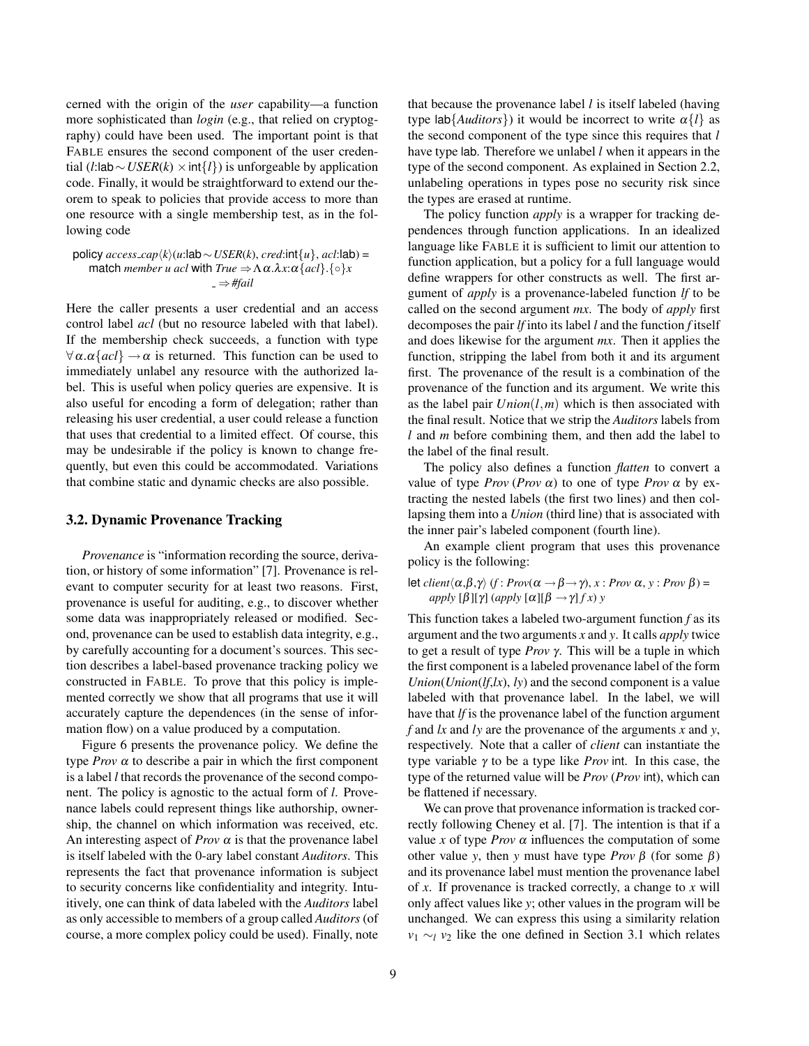cerned with the origin of the *user* capability—a function more sophisticated than *login* (e.g., that relied on cryptography) could have been used. The important point is that FABLE ensures the second component of the user credential (*l*:lab∼*USER*(*k*) ×int{*l*}) is unforgeable by application code. Finally, it would be straightforward to extend our theorem to speak to policies that provide access to more than one resource with a single membership test, as in the following code

policy 
$$
access \text{cap}(k)(u:\text{lab} \sim \text{USER}(k), \text{cred:int}\{u\}, \text{acl:lab}) = \text{match member } u \text{ acl with True} \Rightarrow \Lambda \alpha.\lambda x:\alpha \text{ \lbrace acl\rbrace.}\{\circ\}x
$$
  
 $\Rightarrow \#fail$ 

Here the caller presents a user credential and an access control label *acl* (but no resource labeled with that label). If the membership check succeeds, a function with type  $\forall \alpha \cdot \alpha \{ \alpha \in \mathbb{R} \}$   $\rightarrow \alpha$  is returned. This function can be used to immediately unlabel any resource with the authorized label. This is useful when policy queries are expensive. It is also useful for encoding a form of delegation; rather than releasing his user credential, a user could release a function that uses that credential to a limited effect. Of course, this may be undesirable if the policy is known to change frequently, but even this could be accommodated. Variations that combine static and dynamic checks are also possible.

#### 3.2. Dynamic Provenance Tracking

*Provenance* is "information recording the source, derivation, or history of some information" [7]. Provenance is relevant to computer security for at least two reasons. First, provenance is useful for auditing, e.g., to discover whether some data was inappropriately released or modified. Second, provenance can be used to establish data integrity, e.g., by carefully accounting for a document's sources. This section describes a label-based provenance tracking policy we constructed in FABLE. To prove that this policy is implemented correctly we show that all programs that use it will accurately capture the dependences (in the sense of information flow) on a value produced by a computation.

Figure 6 presents the provenance policy. We define the type  $Prov \alpha$  to describe a pair in which the first component is a label *l* that records the provenance of the second component. The policy is agnostic to the actual form of *l*. Provenance labels could represent things like authorship, ownership, the channel on which information was received, etc. An interesting aspect of *Prov*  $\alpha$  is that the provenance label is itself labeled with the 0-ary label constant *Auditors*. This represents the fact that provenance information is subject to security concerns like confidentiality and integrity. Intuitively, one can think of data labeled with the *Auditors* label as only accessible to members of a group called *Auditors* (of course, a more complex policy could be used). Finally, note that because the provenance label *l* is itself labeled (having type lab{ $Auditors$ }) it would be incorrect to write  $\alpha\{l\}$  as the second component of the type since this requires that *l* have type lab. Therefore we unlabel *l* when it appears in the type of the second component. As explained in Section 2.2, unlabeling operations in types pose no security risk since the types are erased at runtime.

The policy function *apply* is a wrapper for tracking dependences through function applications. In an idealized language like FABLE it is sufficient to limit our attention to function application, but a policy for a full language would define wrappers for other constructs as well. The first argument of *apply* is a provenance-labeled function *lf* to be called on the second argument *mx*. The body of *apply* first decomposes the pair *lf* into its label *l* and the function *f* itself and does likewise for the argument *mx*. Then it applies the function, stripping the label from both it and its argument first. The provenance of the result is a combination of the provenance of the function and its argument. We write this as the label pair  $Union(l,m)$  which is then associated with the final result. Notice that we strip the *Auditors* labels from *l* and *m* before combining them, and then add the label to the label of the final result.

The policy also defines a function *flatten* to convert a value of type  $Prov (Prov \alpha)$  to one of type  $Prov \alpha$  by extracting the nested labels (the first two lines) and then collapsing them into a *Union* (third line) that is associated with the inner pair's labeled component (fourth line).

An example client program that uses this provenance policy is the following:

## let *client* $\langle \alpha, \beta, \gamma \rangle$  (*f* : *Prov* $(\alpha \rightarrow \beta \rightarrow \gamma)$ , *x* : *Prov*  $\alpha$ , *y* : *Prov*  $\beta$ ) = *apply* [β][γ] (*apply* [α][β → γ] *f x*) *y*

This function takes a labeled two-argument function *f* as its argument and the two arguments *x* and *y*. It calls *apply* twice to get a result of type *Prov* γ. This will be a tuple in which the first component is a labeled provenance label of the form *Union*(*Union*(*lf*,*lx*), *ly*) and the second component is a value labeled with that provenance label. In the label, we will have that *lf* is the provenance label of the function argument *f* and *lx* and *ly* are the provenance of the arguments *x* and *y*, respectively. Note that a caller of *client* can instantiate the type variable γ to be a type like *Prov* int. In this case, the type of the returned value will be *Prov* (*Prov* int), which can be flattened if necessary.

We can prove that provenance information is tracked correctly following Cheney et al. [7]. The intention is that if a value *x* of type *Prov*  $\alpha$  influences the computation of some other value *y*, then *y* must have type *Prov*  $\beta$  (for some  $\beta$ ) and its provenance label must mention the provenance label of *x*. If provenance is tracked correctly, a change to *x* will only affect values like *y*; other values in the program will be unchanged. We can express this using a similarity relation  $v_1 \sim_l v_2$  like the one defined in Section 3.1 which relates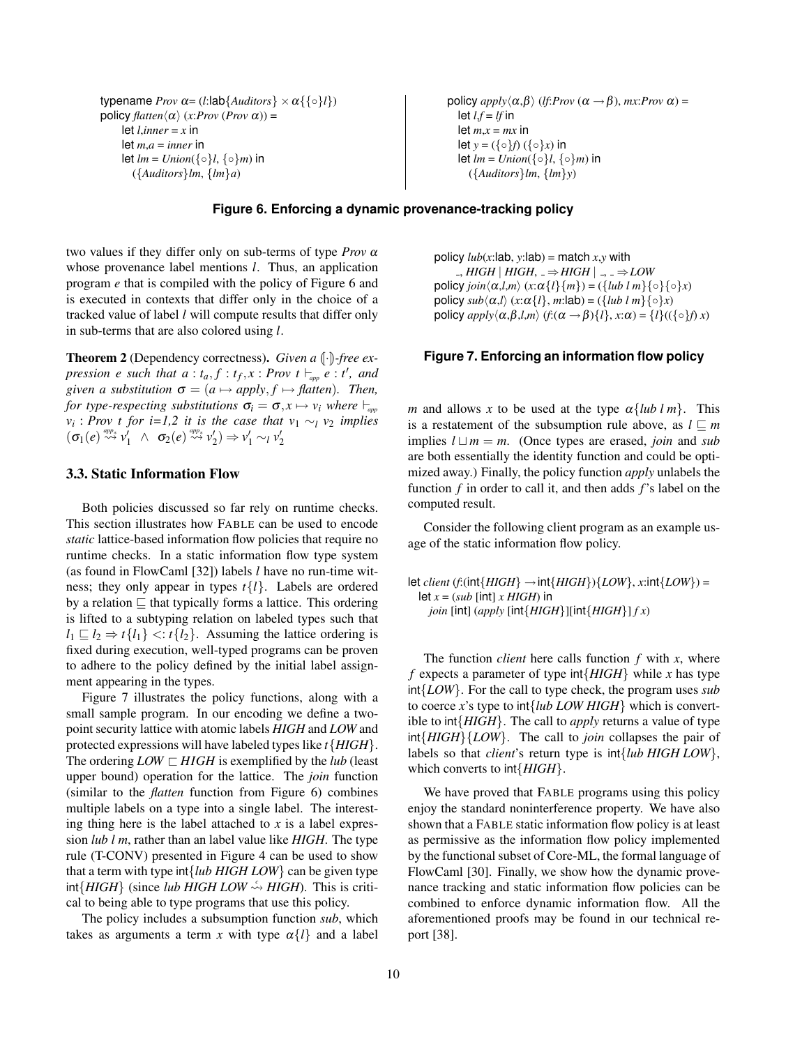typename  $Prov \alpha = (l:lab\{Auditors\} \times \alpha \{\{\circ\}l\})$ **policy** *flatten* $\langle \alpha \rangle$  (*x*:*Prov* (*Prov* α)) = let *l*,*inner* = *x* in let *m*,*a* = *inner* in let  $lm = Union({\{\circ\}l, {\{\circ\}m})$  in ({*Auditors*}*lm*, {*lm*}*a*)

policy  $apply\langle \alpha, \beta \rangle$  (*lf:Prov* (α → β), *mx:Prov* α) = let  $l.f = l f$  in let  $m, x = mx$  in let *y* = ({◦}*f*) ({◦}*x*) in let  $lm = Union({\{\circ\}}l, {\{\circ\}}m)$  in ({*Auditors*}*lm*, {*lm*}*y*)

## **Figure 6. Enforcing a dynamic provenance-tracking policy**

two values if they differ only on sub-terms of type *Prov* α whose provenance label mentions *l*. Thus, an application program *e* that is compiled with the policy of Figure 6 and is executed in contexts that differ only in the choice of a tracked value of label *l* will compute results that differ only in sub-terms that are also colored using *l*.

**Theorem 2** (Dependency correctness). *Given a*  $\lbrack \cdot \rbrack$ *-free expression e such that*  $a : t_a, f : t_f, x : \text{Prov } t \vdash_{\text{app}} e : t'$ *, and given a substitution*  $\sigma = (a \mapsto apply, f \mapsto flatten)$ *. Then, for type-respecting substitutions*  $\sigma_i = \sigma, x \mapsto v_i$  *where*  $\vdash_{\text{app}}$  $v_i$ : *Prov t* for *i*=1,2 *it is the case that*  $v_1 \sim_l v_2$  *implies*  $(\sigma_1(e) \stackrel{app_*}{\leadsto} v'_1 \quad \land \quad \sigma_2(e) \stackrel{app_*}{\leadsto} v'_2) \Rightarrow v'_1 \sim_l v'_2$ 

## 3.3. Static Information Flow

Both policies discussed so far rely on runtime checks. This section illustrates how FABLE can be used to encode *static* lattice-based information flow policies that require no runtime checks. In a static information flow type system (as found in FlowCaml [32]) labels *l* have no run-time witness; they only appear in types *t*{*l*}. Labels are ordered by a relation  $\sqsubseteq$  that typically forms a lattice. This ordering is lifted to a subtyping relation on labeled types such that  $l_1 \sqsubseteq l_2 \Rightarrow t\{l_1\} \le t\{l_2\}$ . Assuming the lattice ordering is fixed during execution, well-typed programs can be proven to adhere to the policy defined by the initial label assignment appearing in the types.

Figure 7 illustrates the policy functions, along with a small sample program. In our encoding we define a twopoint security lattice with atomic labels *HIGH* and *LOW* and protected expressions will have labeled types like *t*{*HIGH*}. The ordering  $LOW \sqsubset HIGH$  is exemplified by the *lub* (least upper bound) operation for the lattice. The *join* function (similar to the *flatten* function from Figure 6) combines multiple labels on a type into a single label. The interesting thing here is the label attached to  $x$  is a label expression *lub l m*, rather than an label value like *HIGH*. The type rule (T-CONV) presented in Figure 4 can be used to show that a term with type int{*lub HIGH LOW*} can be given type  $int\{HIGH\}$  (since *lub HIGH LOW*  $\stackrel{c}{\leadsto} HIGH$ ). This is critical to being able to type programs that use this policy.

The policy includes a subsumption function *sub*, which takes as arguments a term *x* with type  $\alpha \{l\}$  and a label policy  $lub(x)$ :lab,  $y$ :lab) = match  $x, y$  with , *HIGH* | *HIGH*, ⇒*HIGH* | , ⇒*LOW policy join* $\langle \alpha, l, m \rangle$  ( $x : \alpha \{l\}$ { $m$ }) = ({*lub l m*}{◦}{◦}*x*) **policy** *sub* $\langle \alpha, l \rangle$  (*x*:α{*l*}, *m*:lab) = ({*lub l m*}{◦}*x*) *policy apply* $\langle \alpha, \beta, \ell, m \rangle$  (*f*: $(α → β)$ { $l$ },  $x : α$ ) = { $l$ }(({◦}*f*) *x*)

#### **Figure 7. Enforcing an information flow policy**

*m* and allows *x* to be used at the type  $\alpha \{ \text{lub } \text{l } m \}$ . This is a restatement of the subsumption rule above, as  $l \sqsubseteq m$ implies  $l \sqcup m = m$ . (Once types are erased, *join* and *sub* are both essentially the identity function and could be optimized away.) Finally, the policy function *apply* unlabels the function *f* in order to call it, and then adds *f*'s label on the computed result.

Consider the following client program as an example usage of the static information flow policy.

let *client* (*f*:(int{*HIGH*}  $\rightarrow$  int{*HIGH*}){*LOW*}, *x*:int{*LOW*}) = let  $x = (sub$  [int]  $x$  *HIGH*) in *join* [int] (*apply* [int{*HIGH*}][int{*HIGH*}] *f x*)

The function *client* here calls function *f* with *x*, where *f* expects a parameter of type int{*HIGH*} while *x* has type int{*LOW*}. For the call to type check, the program uses *sub* to coerce *x*'s type to int{*lub LOW HIGH*} which is convertible to int{*HIGH*}. The call to *apply* returns a value of type int{*HIGH*}{*LOW*}. The call to *join* collapses the pair of labels so that *client*'s return type is int{*lub HIGH LOW*}, which converts to int{*HIGH*}.

We have proved that FABLE programs using this policy enjoy the standard noninterference property. We have also shown that a FABLE static information flow policy is at least as permissive as the information flow policy implemented by the functional subset of Core-ML, the formal language of FlowCaml [30]. Finally, we show how the dynamic provenance tracking and static information flow policies can be combined to enforce dynamic information flow. All the aforementioned proofs may be found in our technical report [38].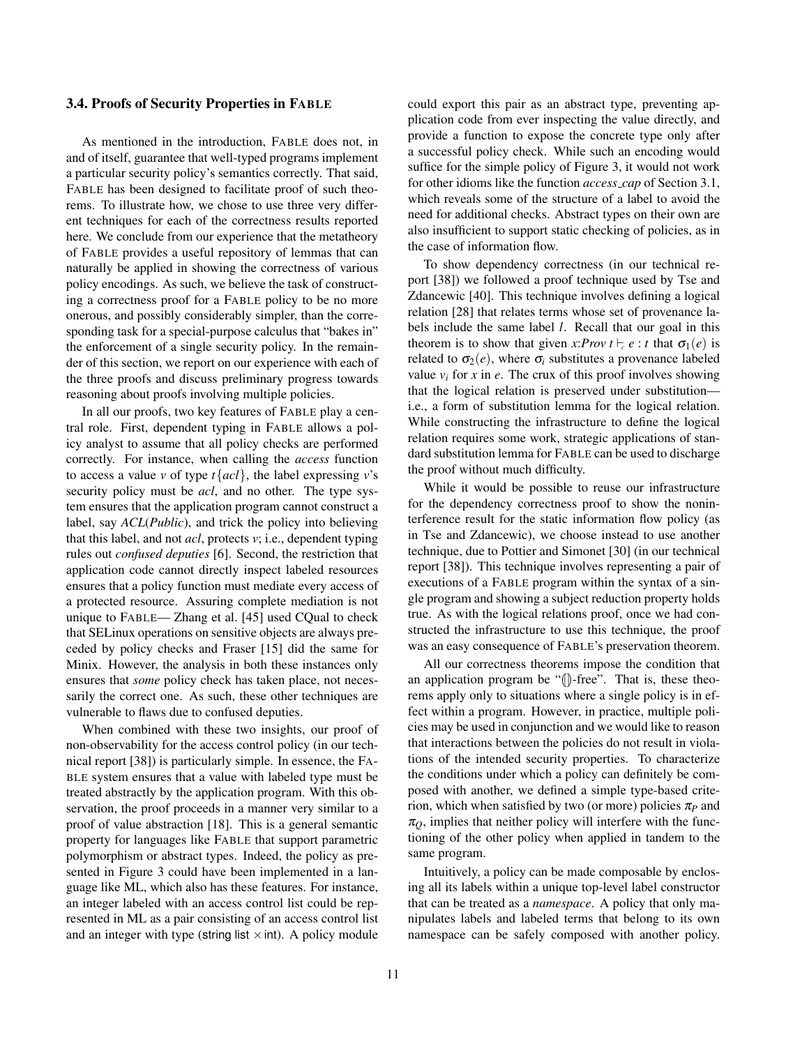#### 3.4. Proofs of Security Properties in FABLE

As mentioned in the introduction, FABLE does not, in and of itself, guarantee that well-typed programs implement a particular security policy's semantics correctly. That said, FABLE has been designed to facilitate proof of such theorems. To illustrate how, we chose to use three very different techniques for each of the correctness results reported here. We conclude from our experience that the metatheory of FABLE provides a useful repository of lemmas that can naturally be applied in showing the correctness of various policy encodings. As such, we believe the task of constructing a correctness proof for a FABLE policy to be no more onerous, and possibly considerably simpler, than the corresponding task for a special-purpose calculus that "bakes in" the enforcement of a single security policy. In the remainder of this section, we report on our experience with each of the three proofs and discuss preliminary progress towards reasoning about proofs involving multiple policies.

In all our proofs, two key features of FABLE play a central role. First, dependent typing in FABLE allows a policy analyst to assume that all policy checks are performed correctly. For instance, when calling the *access* function to access a value *v* of type  $t\{acl\}$ , the label expressing *v*'s security policy must be *acl*, and no other. The type system ensures that the application program cannot construct a label, say *ACL*(*Public*), and trick the policy into believing that this label, and not *acl*, protects *v*; i.e., dependent typing rules out *confused deputies* [6]. Second, the restriction that application code cannot directly inspect labeled resources ensures that a policy function must mediate every access of a protected resource. Assuring complete mediation is not unique to FABLE— Zhang et al. [45] used CQual to check that SELinux operations on sensitive objects are always preceded by policy checks and Fraser [15] did the same for Minix. However, the analysis in both these instances only ensures that *some* policy check has taken place, not necessarily the correct one. As such, these other techniques are vulnerable to flaws due to confused deputies.

When combined with these two insights, our proof of non-observability for the access control policy (in our technical report [38]) is particularly simple. In essence, the FA-BLE system ensures that a value with labeled type must be treated abstractly by the application program. With this observation, the proof proceeds in a manner very similar to a proof of value abstraction [18]. This is a general semantic property for languages like FABLE that support parametric polymorphism or abstract types. Indeed, the policy as presented in Figure 3 could have been implemented in a language like ML, which also has these features. For instance, an integer labeled with an access control list could be represented in ML as a pair consisting of an access control list and an integer with type (string list  $\times$  int). A policy module

could export this pair as an abstract type, preventing application code from ever inspecting the value directly, and provide a function to expose the concrete type only after a successful policy check. While such an encoding would suffice for the simple policy of Figure 3, it would not work for other idioms like the function *access cap* of Section 3.1, which reveals some of the structure of a label to avoid the need for additional checks. Abstract types on their own are also insufficient to support static checking of policies, as in the case of information flow.

To show dependency correctness (in our technical report [38]) we followed a proof technique used by Tse and Zdancewic [40]. This technique involves defining a logical relation [28] that relates terms whose set of provenance labels include the same label *l*. Recall that our goal in this theorem is to show that given *x*:*Prov*  $t \vdash e$  *e* : *t* that  $\sigma_1(e)$  is related to  $\sigma_2(e)$ , where  $\sigma_i$  substitutes a provenance labeled value  $v_i$  for x in *e*. The crux of this proof involves showing that the logical relation is preserved under substitution i.e., a form of substitution lemma for the logical relation. While constructing the infrastructure to define the logical relation requires some work, strategic applications of standard substitution lemma for FABLE can be used to discharge the proof without much difficulty.

While it would be possible to reuse our infrastructure for the dependency correctness proof to show the noninterference result for the static information flow policy (as in Tse and Zdancewic), we choose instead to use another technique, due to Pottier and Simonet [30] (in our technical report [38]). This technique involves representing a pair of executions of a FABLE program within the syntax of a single program and showing a subject reduction property holds true. As with the logical relations proof, once we had constructed the infrastructure to use this technique, the proof was an easy consequence of FABLE's preservation theorem.

All our correctness theorems impose the condition that an application program be "([])-free". That is, these theorems apply only to situations where a single policy is in effect within a program. However, in practice, multiple policies may be used in conjunction and we would like to reason that interactions between the policies do not result in violations of the intended security properties. To characterize the conditions under which a policy can definitely be composed with another, we defined a simple type-based criterion, which when satisfied by two (or more) policies  $\pi_P$  and  $\pi$ <sub>*Q*</sub>, implies that neither policy will interfere with the functioning of the other policy when applied in tandem to the same program.

Intuitively, a policy can be made composable by enclosing all its labels within a unique top-level label constructor that can be treated as a *namespace*. A policy that only manipulates labels and labeled terms that belong to its own namespace can be safely composed with another policy.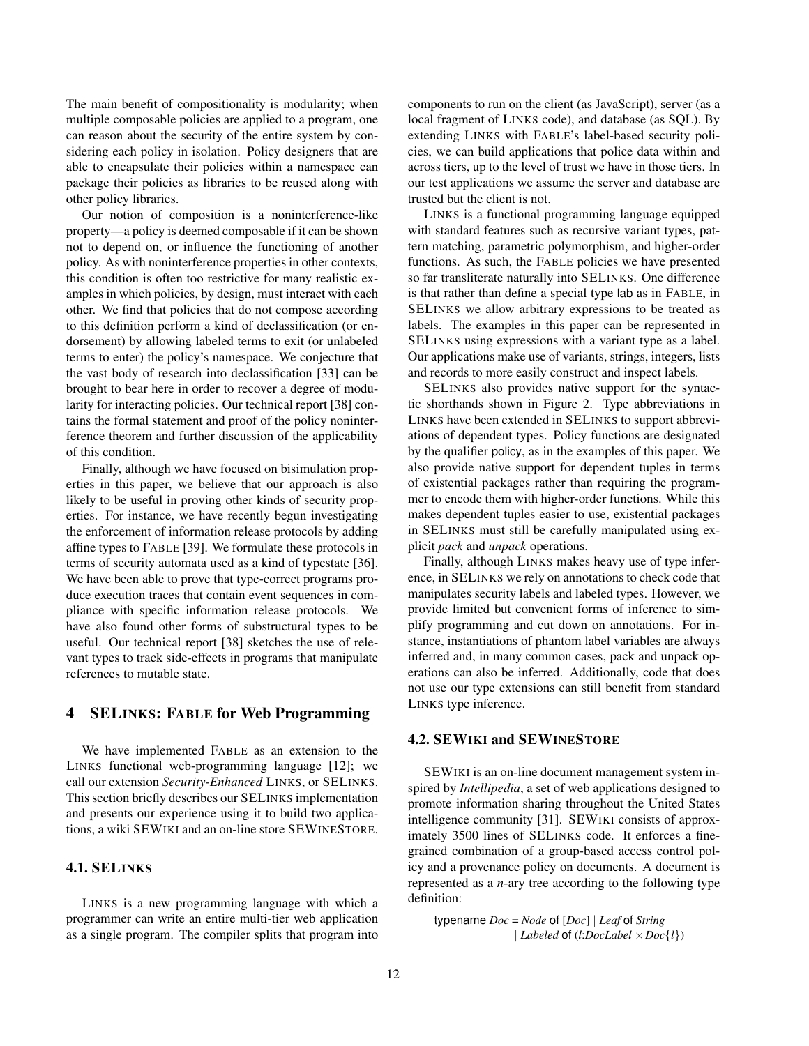The main benefit of compositionality is modularity; when multiple composable policies are applied to a program, one can reason about the security of the entire system by considering each policy in isolation. Policy designers that are able to encapsulate their policies within a namespace can package their policies as libraries to be reused along with other policy libraries.

Our notion of composition is a noninterference-like property—a policy is deemed composable if it can be shown not to depend on, or influence the functioning of another policy. As with noninterference properties in other contexts, this condition is often too restrictive for many realistic examples in which policies, by design, must interact with each other. We find that policies that do not compose according to this definition perform a kind of declassification (or endorsement) by allowing labeled terms to exit (or unlabeled terms to enter) the policy's namespace. We conjecture that the vast body of research into declassification [33] can be brought to bear here in order to recover a degree of modularity for interacting policies. Our technical report [38] contains the formal statement and proof of the policy noninterference theorem and further discussion of the applicability of this condition.

Finally, although we have focused on bisimulation properties in this paper, we believe that our approach is also likely to be useful in proving other kinds of security properties. For instance, we have recently begun investigating the enforcement of information release protocols by adding affine types to FABLE [39]. We formulate these protocols in terms of security automata used as a kind of typestate [36]. We have been able to prove that type-correct programs produce execution traces that contain event sequences in compliance with specific information release protocols. We have also found other forms of substructural types to be useful. Our technical report [38] sketches the use of relevant types to track side-effects in programs that manipulate references to mutable state.

## 4 SELINKS: FABLE for Web Programming

We have implemented FABLE as an extension to the LINKS functional web-programming language [12]; we call our extension *Security-Enhanced* LINKS, or SELINKS. This section briefly describes our SELINKS implementation and presents our experience using it to build two applications, a wiki SEWIKI and an on-line store SEWINESTORE.

### 4.1. SELINKS

LINKS is a new programming language with which a programmer can write an entire multi-tier web application as a single program. The compiler splits that program into components to run on the client (as JavaScript), server (as a local fragment of LINKS code), and database (as SQL). By extending LINKS with FABLE's label-based security policies, we can build applications that police data within and across tiers, up to the level of trust we have in those tiers. In our test applications we assume the server and database are trusted but the client is not.

LINKS is a functional programming language equipped with standard features such as recursive variant types, pattern matching, parametric polymorphism, and higher-order functions. As such, the FABLE policies we have presented so far transliterate naturally into SELINKS. One difference is that rather than define a special type lab as in FABLE, in SELINKS we allow arbitrary expressions to be treated as labels. The examples in this paper can be represented in SELINKS using expressions with a variant type as a label. Our applications make use of variants, strings, integers, lists and records to more easily construct and inspect labels.

SELINKS also provides native support for the syntactic shorthands shown in Figure 2. Type abbreviations in LINKS have been extended in SELINKS to support abbreviations of dependent types. Policy functions are designated by the qualifier policy, as in the examples of this paper. We also provide native support for dependent tuples in terms of existential packages rather than requiring the programmer to encode them with higher-order functions. While this makes dependent tuples easier to use, existential packages in SELINKS must still be carefully manipulated using explicit *pack* and *unpack* operations.

Finally, although LINKS makes heavy use of type inference, in SELINKS we rely on annotations to check code that manipulates security labels and labeled types. However, we provide limited but convenient forms of inference to simplify programming and cut down on annotations. For instance, instantiations of phantom label variables are always inferred and, in many common cases, pack and unpack operations can also be inferred. Additionally, code that does not use our type extensions can still benefit from standard LINKS type inference.

## 4.2. SEWIKI and SEWINESTORE

SEWIKI is an on-line document management system inspired by *Intellipedia*, a set of web applications designed to promote information sharing throughout the United States intelligence community [31]. SEWIKI consists of approximately 3500 lines of SELINKS code. It enforces a finegrained combination of a group-based access control policy and a provenance policy on documents. A document is represented as a *n*-ary tree according to the following type definition:

typename *Doc* = *Node* of [*Doc*] | *Leaf* of *String*  $|$  *Labeled* of  $(l:DocLabel \times Doc\{l\})$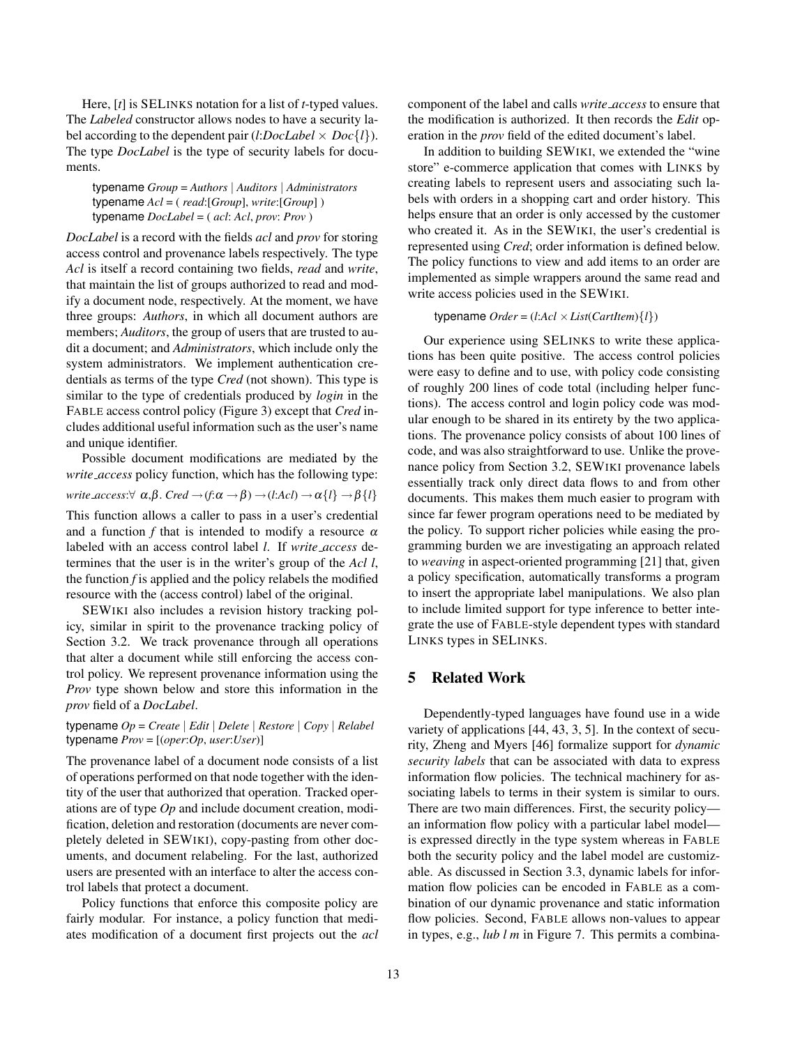Here, [*t*] is SELINKS notation for a list of *t*-typed values. The *Labeled* constructor allows nodes to have a security label according to the dependent pair  $(l:DocLabel \times Doc\{l\})$ . The type *DocLabel* is the type of security labels for documents.

typename *Group* = *Authors* | *Auditors* | *Administrators* typename *Acl* = ( *read*:[*Group*], *write*:[*Group*] ) typename *DocLabel* = ( *acl*: *Acl*, *prov*: *Prov* )

*DocLabel* is a record with the fields *acl* and *prov* for storing access control and provenance labels respectively. The type *Acl* is itself a record containing two fields, *read* and *write*, that maintain the list of groups authorized to read and modify a document node, respectively. At the moment, we have three groups: *Authors*, in which all document authors are members; *Auditors*, the group of users that are trusted to audit a document; and *Administrators*, which include only the system administrators. We implement authentication credentials as terms of the type *Cred* (not shown). This type is similar to the type of credentials produced by *login* in the FABLE access control policy (Figure 3) except that *Cred* includes additional useful information such as the user's name and unique identifier.

Possible document modifications are mediated by the *write access* policy function, which has the following type: *write\_access*: $\forall \alpha, \beta$ *. Cred*  $\rightarrow$  (*f*: $\alpha \rightarrow \beta$ )  $\rightarrow$  (*l*:*Acl*)  $\rightarrow \alpha$  {*l*}  $\rightarrow \beta$  {*l*}

This function allows a caller to pass in a user's credential and a function *f* that is intended to modify a resource  $\alpha$ labeled with an access control label *l*. If *write access* determines that the user is in the writer's group of the *Acl l*, the function *f* is applied and the policy relabels the modified resource with the (access control) label of the original.

SEWIKI also includes a revision history tracking policy, similar in spirit to the provenance tracking policy of Section 3.2. We track provenance through all operations that alter a document while still enforcing the access control policy. We represent provenance information using the *Prov* type shown below and store this information in the *prov* field of a *DocLabel*.

typename *Op* = *Create* | *Edit* | *Delete* | *Restore* | *Copy* | *Relabel* typename *Prov* = [(*oper*:*Op*, *user*:*User*)]

The provenance label of a document node consists of a list of operations performed on that node together with the identity of the user that authorized that operation. Tracked operations are of type *Op* and include document creation, modification, deletion and restoration (documents are never completely deleted in SEWIKI), copy-pasting from other documents, and document relabeling. For the last, authorized users are presented with an interface to alter the access control labels that protect a document.

Policy functions that enforce this composite policy are fairly modular. For instance, a policy function that mediates modification of a document first projects out the *acl* component of the label and calls *write access* to ensure that the modification is authorized. It then records the *Edit* operation in the *prov* field of the edited document's label.

In addition to building SEWIKI, we extended the "wine store" e-commerce application that comes with LINKS by creating labels to represent users and associating such labels with orders in a shopping cart and order history. This helps ensure that an order is only accessed by the customer who created it. As in the SEWIKI, the user's credential is represented using *Cred*; order information is defined below. The policy functions to view and add items to an order are implemented as simple wrappers around the same read and write access policies used in the SEWIKI.

 $typename Order = (l:Acl \times List(CartItem){l})$ 

Our experience using SELINKS to write these applications has been quite positive. The access control policies were easy to define and to use, with policy code consisting of roughly 200 lines of code total (including helper functions). The access control and login policy code was modular enough to be shared in its entirety by the two applications. The provenance policy consists of about 100 lines of code, and was also straightforward to use. Unlike the provenance policy from Section 3.2, SEWIKI provenance labels essentially track only direct data flows to and from other documents. This makes them much easier to program with since far fewer program operations need to be mediated by the policy. To support richer policies while easing the programming burden we are investigating an approach related to *weaving* in aspect-oriented programming [21] that, given a policy specification, automatically transforms a program to insert the appropriate label manipulations. We also plan to include limited support for type inference to better integrate the use of FABLE-style dependent types with standard LINKS types in SELINKS.

## 5 Related Work

Dependently-typed languages have found use in a wide variety of applications [44, 43, 3, 5]. In the context of security, Zheng and Myers [46] formalize support for *dynamic security labels* that can be associated with data to express information flow policies. The technical machinery for associating labels to terms in their system is similar to ours. There are two main differences. First, the security policy an information flow policy with a particular label model is expressed directly in the type system whereas in FABLE both the security policy and the label model are customizable. As discussed in Section 3.3, dynamic labels for information flow policies can be encoded in FABLE as a combination of our dynamic provenance and static information flow policies. Second, FABLE allows non-values to appear in types, e.g., *lub l m* in Figure 7. This permits a combina-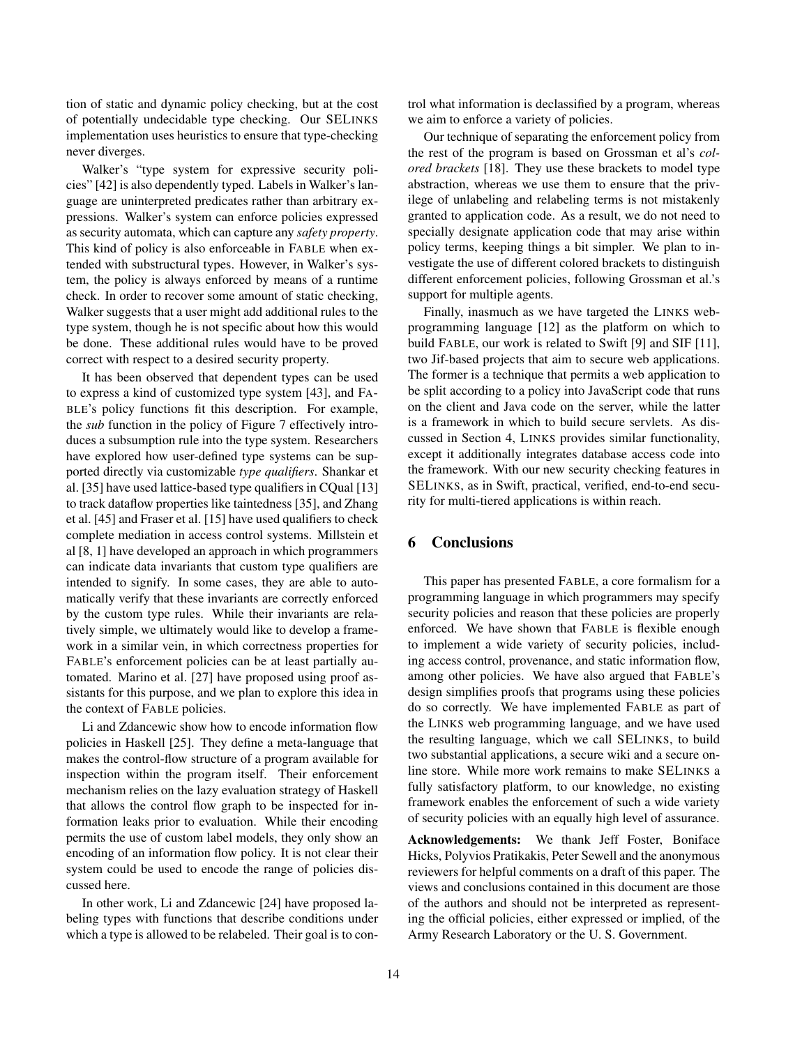tion of static and dynamic policy checking, but at the cost of potentially undecidable type checking. Our SELINKS implementation uses heuristics to ensure that type-checking never diverges.

Walker's "type system for expressive security policies" [42] is also dependently typed. Labels in Walker's language are uninterpreted predicates rather than arbitrary expressions. Walker's system can enforce policies expressed as security automata, which can capture any *safety property*. This kind of policy is also enforceable in FABLE when extended with substructural types. However, in Walker's system, the policy is always enforced by means of a runtime check. In order to recover some amount of static checking, Walker suggests that a user might add additional rules to the type system, though he is not specific about how this would be done. These additional rules would have to be proved correct with respect to a desired security property.

It has been observed that dependent types can be used to express a kind of customized type system [43], and FA-BLE's policy functions fit this description. For example, the *sub* function in the policy of Figure 7 effectively introduces a subsumption rule into the type system. Researchers have explored how user-defined type systems can be supported directly via customizable *type qualifiers*. Shankar et al. [35] have used lattice-based type qualifiers in CQual [13] to track dataflow properties like taintedness [35], and Zhang et al. [45] and Fraser et al. [15] have used qualifiers to check complete mediation in access control systems. Millstein et al [8, 1] have developed an approach in which programmers can indicate data invariants that custom type qualifiers are intended to signify. In some cases, they are able to automatically verify that these invariants are correctly enforced by the custom type rules. While their invariants are relatively simple, we ultimately would like to develop a framework in a similar vein, in which correctness properties for FABLE's enforcement policies can be at least partially automated. Marino et al. [27] have proposed using proof assistants for this purpose, and we plan to explore this idea in the context of FABLE policies.

Li and Zdancewic show how to encode information flow policies in Haskell [25]. They define a meta-language that makes the control-flow structure of a program available for inspection within the program itself. Their enforcement mechanism relies on the lazy evaluation strategy of Haskell that allows the control flow graph to be inspected for information leaks prior to evaluation. While their encoding permits the use of custom label models, they only show an encoding of an information flow policy. It is not clear their system could be used to encode the range of policies discussed here.

In other work, Li and Zdancewic [24] have proposed labeling types with functions that describe conditions under which a type is allowed to be relabeled. Their goal is to control what information is declassified by a program, whereas we aim to enforce a variety of policies.

Our technique of separating the enforcement policy from the rest of the program is based on Grossman et al's *colored brackets* [18]. They use these brackets to model type abstraction, whereas we use them to ensure that the privilege of unlabeling and relabeling terms is not mistakenly granted to application code. As a result, we do not need to specially designate application code that may arise within policy terms, keeping things a bit simpler. We plan to investigate the use of different colored brackets to distinguish different enforcement policies, following Grossman et al.'s support for multiple agents.

Finally, inasmuch as we have targeted the LINKS webprogramming language [12] as the platform on which to build FABLE, our work is related to Swift [9] and SIF [11], two Jif-based projects that aim to secure web applications. The former is a technique that permits a web application to be split according to a policy into JavaScript code that runs on the client and Java code on the server, while the latter is a framework in which to build secure servlets. As discussed in Section 4, LINKS provides similar functionality, except it additionally integrates database access code into the framework. With our new security checking features in SELINKS, as in Swift, practical, verified, end-to-end security for multi-tiered applications is within reach.

## 6 Conclusions

This paper has presented FABLE, a core formalism for a programming language in which programmers may specify security policies and reason that these policies are properly enforced. We have shown that FABLE is flexible enough to implement a wide variety of security policies, including access control, provenance, and static information flow, among other policies. We have also argued that FABLE's design simplifies proofs that programs using these policies do so correctly. We have implemented FABLE as part of the LINKS web programming language, and we have used the resulting language, which we call SELINKS, to build two substantial applications, a secure wiki and a secure online store. While more work remains to make SELINKS a fully satisfactory platform, to our knowledge, no existing framework enables the enforcement of such a wide variety of security policies with an equally high level of assurance.

Acknowledgements: We thank Jeff Foster, Boniface Hicks, Polyvios Pratikakis, Peter Sewell and the anonymous reviewers for helpful comments on a draft of this paper. The views and conclusions contained in this document are those of the authors and should not be interpreted as representing the official policies, either expressed or implied, of the Army Research Laboratory or the U. S. Government.